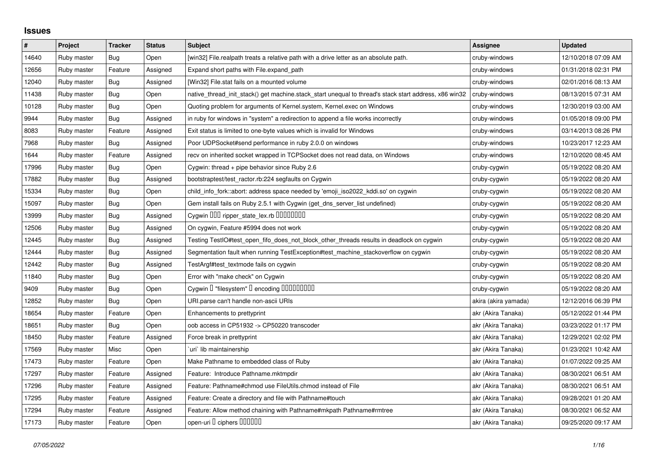## **Issues**

| $\#$  | Project     | <b>Tracker</b> | <b>Status</b> | <b>Subject</b>                                                                                        | Assignee             | <b>Updated</b>      |
|-------|-------------|----------------|---------------|-------------------------------------------------------------------------------------------------------|----------------------|---------------------|
| 14640 | Ruby master | Bug            | Open          | [win32] File.realpath treats a relative path with a drive letter as an absolute path.                 | cruby-windows        | 12/10/2018 07:09 AM |
| 12656 | Ruby master | Feature        | Assigned      | Expand short paths with File.expand_path                                                              | cruby-windows        | 01/31/2018 02:31 PM |
| 12040 | Ruby master | <b>Bug</b>     | Assigned      | [Win32] File.stat fails on a mounted volume                                                           | cruby-windows        | 02/01/2016 08:13 AM |
| 11438 | Ruby master | <b>Bug</b>     | Open          | native_thread_init_stack() get machine.stack_start unequal to thread's stack start address, x86 win32 | cruby-windows        | 08/13/2015 07:31 AM |
| 10128 | Ruby master | Bug            | Open          | Quoting problem for arguments of Kernel.system, Kernel.exec on Windows                                | cruby-windows        | 12/30/2019 03:00 AM |
| 9944  | Ruby master | Bug            | Assigned      | in ruby for windows in "system" a redirection to append a file works incorrectly                      | cruby-windows        | 01/05/2018 09:00 PM |
| 8083  | Ruby master | Feature        | Assigned      | Exit status is limited to one-byte values which is invalid for Windows                                | cruby-windows        | 03/14/2013 08:26 PM |
| 7968  | Ruby master | <b>Bug</b>     | Assigned      | Poor UDPSocket#send performance in ruby 2.0.0 on windows                                              | cruby-windows        | 10/23/2017 12:23 AM |
| 1644  | Ruby master | Feature        | Assigned      | recv on inherited socket wrapped in TCPSocket does not read data, on Windows                          | cruby-windows        | 12/10/2020 08:45 AM |
| 17996 | Ruby master | Bug            | Open          | Cygwin: thread + pipe behavior since Ruby 2.6                                                         | cruby-cygwin         | 05/19/2022 08:20 AM |
| 17882 | Ruby master | Bug            | Assigned      | bootstraptest/test_ractor.rb:224 segfaults on Cygwin                                                  | cruby-cygwin         | 05/19/2022 08:20 AM |
| 15334 | Ruby master | <b>Bug</b>     | Open          | child_info_fork::abort: address space needed by 'emoji_iso2022_kddi.so' on cygwin                     | cruby-cygwin         | 05/19/2022 08:20 AM |
| 15097 | Ruby master | <b>Bug</b>     | Open          | Gem install fails on Ruby 2.5.1 with Cygwin (get_dns_server_list undefined)                           | cruby-cygwin         | 05/19/2022 08:20 AM |
| 3999  | Ruby master | <b>Bug</b>     | Assigned      | Cygwin 000 ripper_state_lex.rb 0000000                                                                | cruby-cygwin         | 05/19/2022 08:20 AM |
| 12506 | Ruby master | <b>Bug</b>     | Assigned      | On cygwin, Feature #5994 does not work                                                                | cruby-cygwin         | 05/19/2022 08:20 AM |
| 12445 | Ruby master | Bug            | Assigned      | Testing TestIO#test_open_fifo_does_not_block_other_threads results in deadlock on cygwin              | cruby-cygwin         | 05/19/2022 08:20 AM |
| 12444 | Ruby master | Bug            | Assigned      | Segmentation fault when running TestException#test_machine_stackoverflow on cygwin                    | cruby-cygwin         | 05/19/2022 08:20 AM |
| 12442 | Ruby master | <b>Bug</b>     | Assigned      | TestArgf#test_textmode fails on cygwin                                                                | cruby-cygwin         | 05/19/2022 08:20 AM |
| 11840 | Ruby master | <b>Bug</b>     | Open          | Error with "make check" on Cygwin                                                                     | cruby-cygwin         | 05/19/2022 08:20 AM |
| 9409  | Ruby master | <b>Bug</b>     | Open          | Cygwin I "filesystem" I encoding IIIIIIIIIIII                                                         | cruby-cygwin         | 05/19/2022 08:20 AM |
| 12852 | Ruby master | Bug            | Open          | URI.parse can't handle non-ascii URIs                                                                 | akira (akira yamada) | 12/12/2016 06:39 PM |
| 18654 | Ruby master | Feature        | Open          | Enhancements to prettyprint                                                                           | akr (Akira Tanaka)   | 05/12/2022 01:44 PM |
| 18651 | Ruby master | <b>Bug</b>     | Open          | oob access in CP51932 -> CP50220 transcoder                                                           | akr (Akira Tanaka)   | 03/23/2022 01:17 PM |
| 18450 | Ruby master | Feature        | Assigned      | Force break in prettyprint                                                                            | akr (Akira Tanaka)   | 12/29/2021 02:02 PM |
| 17569 | Ruby master | Misc           | Open          | uri`lib maintainership                                                                                | akr (Akira Tanaka)   | 01/23/2021 10:42 AM |
| 17473 | Ruby master | Feature        | Open          | Make Pathname to embedded class of Ruby                                                               | akr (Akira Tanaka)   | 01/07/2022 09:25 AM |
| 17297 | Ruby master | Feature        | Assigned      | Feature: Introduce Pathname.mktmpdir                                                                  | akr (Akira Tanaka)   | 08/30/2021 06:51 AM |
| 17296 | Ruby master | Feature        | Assigned      | Feature: Pathname#chmod use FileUtils.chmod instead of File                                           | akr (Akira Tanaka)   | 08/30/2021 06:51 AM |
| 17295 | Ruby master | Feature        | Assigned      | Feature: Create a directory and file with Pathname#touch                                              | akr (Akira Tanaka)   | 09/28/2021 01:20 AM |
| 17294 | Ruby master | Feature        | Assigned      | Feature: Allow method chaining with Pathname#mkpath Pathname#rmtree                                   | akr (Akira Tanaka)   | 08/30/2021 06:52 AM |
| 17173 | Ruby master | Feature        | Open          | open-uri D ciphers DODDDD                                                                             | akr (Akira Tanaka)   | 09/25/2020 09:17 AM |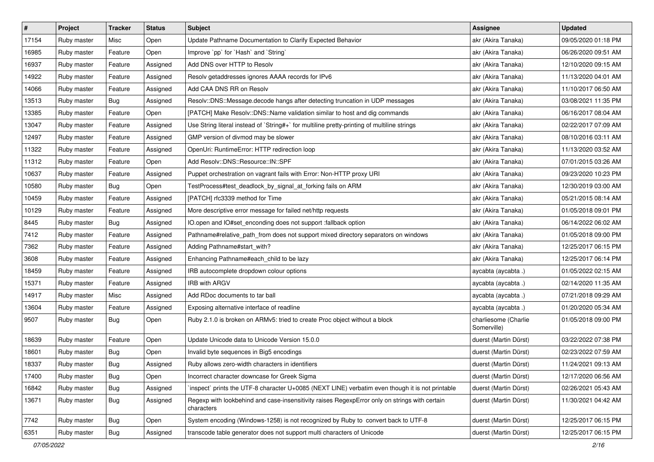| #     | Project     | <b>Tracker</b> | <b>Status</b> | Subject                                                                                                     | Assignee                            | <b>Updated</b>      |
|-------|-------------|----------------|---------------|-------------------------------------------------------------------------------------------------------------|-------------------------------------|---------------------|
| 17154 | Ruby master | Misc           | Open          | Update Pathname Documentation to Clarify Expected Behavior                                                  | akr (Akira Tanaka)                  | 09/05/2020 01:18 PM |
| 16985 | Ruby master | Feature        | Open          | Improve `pp` for `Hash` and `String`                                                                        | akr (Akira Tanaka)                  | 06/26/2020 09:51 AM |
| 16937 | Ruby master | Feature        | Assigned      | Add DNS over HTTP to Resolv                                                                                 | akr (Akira Tanaka)                  | 12/10/2020 09:15 AM |
| 14922 | Ruby master | Feature        | Assigned      | Resolv getaddresses ignores AAAA records for IPv6                                                           | akr (Akira Tanaka)                  | 11/13/2020 04:01 AM |
| 14066 | Ruby master | Feature        | Assigned      | Add CAA DNS RR on Resolv                                                                                    | akr (Akira Tanaka)                  | 11/10/2017 06:50 AM |
| 13513 | Ruby master | Bug            | Assigned      | Resolv::DNS::Message.decode hangs after detecting truncation in UDP messages                                | akr (Akira Tanaka)                  | 03/08/2021 11:35 PM |
| 13385 | Ruby master | Feature        | Open          | [PATCH] Make Resolv::DNS::Name validation similar to host and dig commands                                  | akr (Akira Tanaka)                  | 06/16/2017 08:04 AM |
| 13047 | Ruby master | Feature        | Assigned      | Use String literal instead of `String#+` for multiline pretty-printing of multiline strings                 | akr (Akira Tanaka)                  | 02/22/2017 07:09 AM |
| 12497 | Ruby master | Feature        | Assigned      | GMP version of divmod may be slower                                                                         | akr (Akira Tanaka)                  | 08/10/2016 03:11 AM |
| 11322 | Ruby master | Feature        | Assigned      | OpenUri: RuntimeError: HTTP redirection loop                                                                | akr (Akira Tanaka)                  | 11/13/2020 03:52 AM |
| 11312 | Ruby master | Feature        | Open          | Add Resolv::DNS::Resource::IN::SPF                                                                          | akr (Akira Tanaka)                  | 07/01/2015 03:26 AM |
| 10637 | Ruby master | Feature        | Assigned      | Puppet orchestration on vagrant fails with Error: Non-HTTP proxy URI                                        | akr (Akira Tanaka)                  | 09/23/2020 10:23 PM |
| 10580 | Ruby master | Bug            | Open          | TestProcess#test_deadlock_by_signal_at_forking fails on ARM                                                 | akr (Akira Tanaka)                  | 12/30/2019 03:00 AM |
| 10459 | Ruby master | Feature        | Assigned      | [PATCH] rfc3339 method for Time                                                                             | akr (Akira Tanaka)                  | 05/21/2015 08:14 AM |
| 10129 | Ruby master | Feature        | Assigned      | More descriptive error message for failed net/http requests                                                 | akr (Akira Tanaka)                  | 01/05/2018 09:01 PM |
| 8445  | Ruby master | Bug            | Assigned      | IO.open and IO#set_enconding does not support :fallback option                                              | akr (Akira Tanaka)                  | 06/14/2022 06:02 AM |
| 7412  | Ruby master | Feature        | Assigned      | Pathname#relative_path_from does not support mixed directory separators on windows                          | akr (Akira Tanaka)                  | 01/05/2018 09:00 PM |
| 7362  | Ruby master | Feature        | Assigned      | Adding Pathname#start_with?                                                                                 | akr (Akira Tanaka)                  | 12/25/2017 06:15 PM |
| 3608  | Ruby master | Feature        | Assigned      | Enhancing Pathname#each_child to be lazy                                                                    | akr (Akira Tanaka)                  | 12/25/2017 06:14 PM |
| 18459 | Ruby master | Feature        | Assigned      | IRB autocomplete dropdown colour options                                                                    | aycabta (aycabta.)                  | 01/05/2022 02:15 AM |
| 15371 | Ruby master | Feature        | Assigned      | <b>IRB with ARGV</b>                                                                                        | aycabta (aycabta .)                 | 02/14/2020 11:35 AM |
| 14917 | Ruby master | Misc           | Assigned      | Add RDoc documents to tar ball                                                                              | aycabta (aycabta .)                 | 07/21/2018 09:29 AM |
| 13604 | Ruby master | Feature        | Assigned      | Exposing alternative interface of readline                                                                  | aycabta (aycabta .)                 | 01/20/2020 05:34 AM |
| 9507  | Ruby master | Bug            | Open          | Ruby 2.1.0 is broken on ARMv5: tried to create Proc object without a block                                  | charliesome (Charlie<br>Somerville) | 01/05/2018 09:00 PM |
| 18639 | Ruby master | Feature        | Open          | Update Unicode data to Unicode Version 15.0.0                                                               | duerst (Martin Dürst)               | 03/22/2022 07:38 PM |
| 18601 | Ruby master | Bug            | Open          | Invalid byte sequences in Big5 encodings                                                                    | duerst (Martin Dürst)               | 02/23/2022 07:59 AM |
| 18337 | Ruby master | <b>Bug</b>     | Assigned      | Ruby allows zero-width characters in identifiers                                                            | duerst (Martin Dürst)               | 11/24/2021 09:13 AM |
| 17400 | Ruby master | <b>Bug</b>     | Open          | Incorrect character downcase for Greek Sigma                                                                | duerst (Martin Dürst)               | 12/17/2020 06:56 AM |
| 16842 | Ruby master | Bug            | Assigned      | inspect` prints the UTF-8 character U+0085 (NEXT LINE) verbatim even though it is not printable             | duerst (Martin Dürst)               | 02/26/2021 05:43 AM |
| 13671 | Ruby master | Bug            | Assigned      | Regexp with lookbehind and case-insensitivity raises RegexpError only on strings with certain<br>characters | duerst (Martin Dürst)               | 11/30/2021 04:42 AM |
| 7742  | Ruby master | <b>Bug</b>     | Open          | System encoding (Windows-1258) is not recognized by Ruby to convert back to UTF-8                           | duerst (Martin Dürst)               | 12/25/2017 06:15 PM |
| 6351  | Ruby master | <b>Bug</b>     | Assigned      | transcode table generator does not support multi characters of Unicode                                      | duerst (Martin Dürst)               | 12/25/2017 06:15 PM |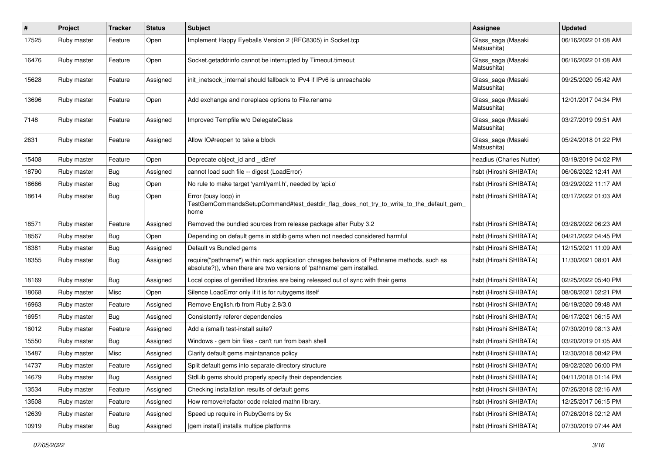| #     | Project     | <b>Tracker</b> | <b>Status</b> | <b>Subject</b>                                                                                                                                                      | Assignee                          | <b>Updated</b>      |
|-------|-------------|----------------|---------------|---------------------------------------------------------------------------------------------------------------------------------------------------------------------|-----------------------------------|---------------------|
| 17525 | Ruby master | Feature        | Open          | Implement Happy Eyeballs Version 2 (RFC8305) in Socket.tcp                                                                                                          | Glass_saga (Masaki<br>Matsushita) | 06/16/2022 01:08 AM |
| 16476 | Ruby master | Feature        | Open          | Socket.getaddrinfo cannot be interrupted by Timeout.timeout                                                                                                         | Glass_saga (Masaki<br>Matsushita) | 06/16/2022 01:08 AM |
| 15628 | Ruby master | Feature        | Assigned      | init inetsock internal should fallback to IPv4 if IPv6 is unreachable                                                                                               | Glass_saga (Masaki<br>Matsushita) | 09/25/2020 05:42 AM |
| 13696 | Ruby master | Feature        | Open          | Add exchange and noreplace options to File.rename                                                                                                                   | Glass_saga (Masaki<br>Matsushita) | 12/01/2017 04:34 PM |
| 7148  | Ruby master | Feature        | Assigned      | Improved Tempfile w/o DelegateClass                                                                                                                                 | Glass_saga (Masaki<br>Matsushita) | 03/27/2019 09:51 AM |
| 2631  | Ruby master | Feature        | Assigned      | Allow IO#reopen to take a block                                                                                                                                     | Glass_saga (Masaki<br>Matsushita) | 05/24/2018 01:22 PM |
| 15408 | Ruby master | Feature        | Open          | Deprecate object_id and _id2ref                                                                                                                                     | headius (Charles Nutter)          | 03/19/2019 04:02 PM |
| 18790 | Ruby master | Bug            | Assigned      | cannot load such file -- digest (LoadError)                                                                                                                         | hsbt (Hiroshi SHIBATA)            | 06/06/2022 12:41 AM |
| 18666 | Ruby master | Bug            | Open          | No rule to make target 'yaml/yaml.h', needed by 'api.o'                                                                                                             | hsbt (Hiroshi SHIBATA)            | 03/29/2022 11:17 AM |
| 18614 | Ruby master | Bug            | Open          | Error (busy loop) in<br>TestGemCommandsSetupCommand#test_destdir_flag_does_not_try_to_write_to_the_default_gem_<br>home                                             | hsbt (Hiroshi SHIBATA)            | 03/17/2022 01:03 AM |
| 18571 | Ruby master | Feature        | Assigned      | Removed the bundled sources from release package after Ruby 3.2                                                                                                     | hsbt (Hiroshi SHIBATA)            | 03/28/2022 06:23 AM |
| 18567 | Ruby master | Bug            | Open          | Depending on default gems in stdlib gems when not needed considered harmful                                                                                         | hsbt (Hiroshi SHIBATA)            | 04/21/2022 04:45 PM |
| 18381 | Ruby master | Bug            | Assigned      | Default vs Bundled gems                                                                                                                                             | hsbt (Hiroshi SHIBATA)            | 12/15/2021 11:09 AM |
| 18355 | Ruby master | Bug            | Assigned      | require("pathname") within rack application chnages behaviors of Pathname methods, such as<br>absolute?(), when there are two versions of 'pathname' gem installed. | hsbt (Hiroshi SHIBATA)            | 11/30/2021 08:01 AM |
| 18169 | Ruby master | Bug            | Assigned      | Local copies of gemified libraries are being released out of sync with their gems                                                                                   | hsbt (Hiroshi SHIBATA)            | 02/25/2022 05:40 PM |
| 18068 | Ruby master | Misc           | Open          | Silence LoadError only if it is for rubygems itself                                                                                                                 | hsbt (Hiroshi SHIBATA)            | 08/08/2021 02:21 PM |
| 16963 | Ruby master | Feature        | Assigned      | Remove English.rb from Ruby 2.8/3.0                                                                                                                                 | hsbt (Hiroshi SHIBATA)            | 06/19/2020 09:48 AM |
| 16951 | Ruby master | Bug            | Assigned      | Consistently referer dependencies                                                                                                                                   | hsbt (Hiroshi SHIBATA)            | 06/17/2021 06:15 AM |
| 16012 | Ruby master | Feature        | Assigned      | Add a (small) test-install suite?                                                                                                                                   | hsbt (Hiroshi SHIBATA)            | 07/30/2019 08:13 AM |
| 15550 | Ruby master | Bug            | Assigned      | Windows - gem bin files - can't run from bash shell                                                                                                                 | hsbt (Hiroshi SHIBATA)            | 03/20/2019 01:05 AM |
| 15487 | Ruby master | Misc           | Assigned      | Clarify default gems maintanance policy                                                                                                                             | hsbt (Hiroshi SHIBATA)            | 12/30/2018 08:42 PM |
| 14737 | Ruby master | Feature        | Assigned      | Split default gems into separate directory structure                                                                                                                | hsbt (Hiroshi SHIBATA)            | 09/02/2020 06:00 PM |
| 14679 | Ruby master | <b>Bug</b>     | Assigned      | StdLib gems should properly specify their dependencies                                                                                                              | hsbt (Hiroshi SHIBATA)            | 04/11/2018 01:14 PM |
| 13534 | Ruby master | Feature        | Assigned      | Checking installation results of default gems                                                                                                                       | hsbt (Hiroshi SHIBATA)            | 07/26/2018 02:16 AM |
| 13508 | Ruby master | Feature        | Assigned      | How remove/refactor code related mathn library.                                                                                                                     | hsbt (Hiroshi SHIBATA)            | 12/25/2017 06:15 PM |
| 12639 | Ruby master | Feature        | Assigned      | Speed up require in RubyGems by 5x                                                                                                                                  | hsbt (Hiroshi SHIBATA)            | 07/26/2018 02:12 AM |
| 10919 | Ruby master | Bug            | Assigned      | [gem install] installs multipe platforms                                                                                                                            | hsbt (Hiroshi SHIBATA)            | 07/30/2019 07:44 AM |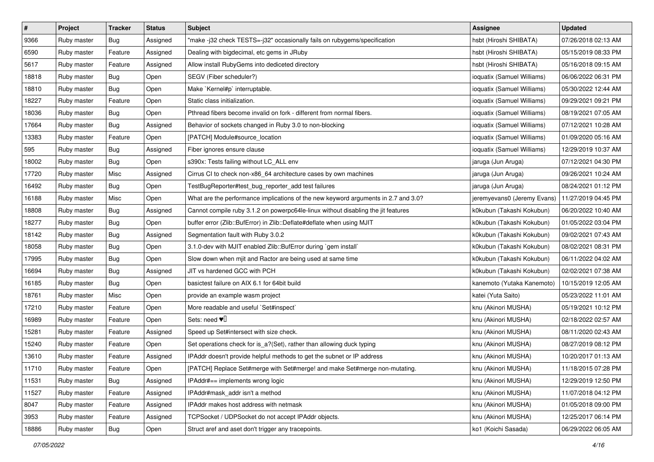| $\pmb{\#}$ | Project     | <b>Tracker</b> | <b>Status</b> | <b>Subject</b>                                                                     | <b>Assignee</b>             | <b>Updated</b>      |
|------------|-------------|----------------|---------------|------------------------------------------------------------------------------------|-----------------------------|---------------------|
| 9366       | Ruby master | <b>Bug</b>     | Assigned      | "make-j32 check TESTS=-j32" occasionally fails on rubygems/specification           | hsbt (Hiroshi SHIBATA)      | 07/26/2018 02:13 AM |
| 6590       | Ruby master | Feature        | Assigned      | Dealing with bigdecimal, etc gems in JRuby                                         | hsbt (Hiroshi SHIBATA)      | 05/15/2019 08:33 PM |
| 5617       | Ruby master | Feature        | Assigned      | Allow install RubyGems into dediceted directory                                    | hsbt (Hiroshi SHIBATA)      | 05/16/2018 09:15 AM |
| 18818      | Ruby master | Bug            | Open          | SEGV (Fiber scheduler?)                                                            | ioquatix (Samuel Williams)  | 06/06/2022 06:31 PM |
| 18810      | Ruby master | <b>Bug</b>     | Open          | Make `Kernel#p` interruptable.                                                     | ioquatix (Samuel Williams)  | 05/30/2022 12:44 AM |
| 18227      | Ruby master | Feature        | Open          | Static class initialization.                                                       | ioquatix (Samuel Williams)  | 09/29/2021 09:21 PM |
| 18036      | Ruby master | Bug            | Open          | Pthread fibers become invalid on fork - different from normal fibers.              | ioquatix (Samuel Williams)  | 08/19/2021 07:05 AM |
| 17664      | Ruby master | Bug            | Assigned      | Behavior of sockets changed in Ruby 3.0 to non-blocking                            | ioquatix (Samuel Williams)  | 07/12/2021 10:28 AM |
| 13383      | Ruby master | Feature        | Open          | [PATCH] Module#source_location                                                     | ioquatix (Samuel Williams)  | 01/09/2020 05:16 AM |
| 595        | Ruby master | Bug            | Assigned      | Fiber ignores ensure clause                                                        | ioquatix (Samuel Williams)  | 12/29/2019 10:37 AM |
| 18002      | Ruby master | Bug            | Open          | s390x: Tests failing without LC_ALL env                                            | jaruga (Jun Aruga)          | 07/12/2021 04:30 PM |
| 17720      | Ruby master | Misc           | Assigned      | Cirrus CI to check non-x86_64 architecture cases by own machines                   | jaruga (Jun Aruga)          | 09/26/2021 10:24 AM |
| 16492      | Ruby master | <b>Bug</b>     | Open          | TestBugReporter#test_bug_reporter_add test failures                                | jaruga (Jun Aruga)          | 08/24/2021 01:12 PM |
| 16188      | Ruby master | Misc           | Open          | What are the performance implications of the new keyword arguments in 2.7 and 3.0? | jeremyevans0 (Jeremy Evans) | 11/27/2019 04:45 PM |
| 18808      | Ruby master | <b>Bug</b>     | Assigned      | Cannot compile ruby 3.1.2 on powerpc64le-linux without disabling the jit features  | k0kubun (Takashi Kokubun)   | 06/20/2022 10:40 AM |
| 18277      | Ruby master | Bug            | Open          | buffer error (Zlib::BufError) in Zlib::Deflate#deflate when using MJIT             | k0kubun (Takashi Kokubun)   | 01/05/2022 03:04 PM |
| 18142      | Ruby master | <b>Bug</b>     | Assigned      | Segmentation fault with Ruby 3.0.2                                                 | k0kubun (Takashi Kokubun)   | 09/02/2021 07:43 AM |
| 18058      | Ruby master | Bug            | Open          | 3.1.0-dev with MJIT enabled Zlib::BufError during `gem install`                    | k0kubun (Takashi Kokubun)   | 08/02/2021 08:31 PM |
| 17995      | Ruby master | <b>Bug</b>     | Open          | Slow down when mjit and Ractor are being used at same time                         | k0kubun (Takashi Kokubun)   | 06/11/2022 04:02 AM |
| 16694      | Ruby master | <b>Bug</b>     | Assigned      | JIT vs hardened GCC with PCH                                                       | k0kubun (Takashi Kokubun)   | 02/02/2021 07:38 AM |
| 16185      | Ruby master | Bug            | Open          | basictest failure on AIX 6.1 for 64bit build                                       | kanemoto (Yutaka Kanemoto)  | 10/15/2019 12:05 AM |
| 18761      | Ruby master | Misc           | Open          | provide an example wasm project                                                    | katei (Yuta Saito)          | 05/23/2022 11:01 AM |
| 17210      | Ruby master | Feature        | Open          | More readable and useful `Set#inspect`                                             | knu (Akinori MUSHA)         | 05/19/2021 10:12 PM |
| 16989      | Ruby master | Feature        | Open          | Sets: need $\Psi$                                                                  | knu (Akinori MUSHA)         | 02/18/2022 02:57 AM |
| 15281      | Ruby master | Feature        | Assigned      | Speed up Set#intersect with size check.                                            | knu (Akinori MUSHA)         | 08/11/2020 02:43 AM |
| 15240      | Ruby master | Feature        | Open          | Set operations check for is_a?(Set), rather than allowing duck typing              | knu (Akinori MUSHA)         | 08/27/2019 08:12 PM |
| 13610      | Ruby master | Feature        | Assigned      | IPAddr doesn't provide helpful methods to get the subnet or IP address             | knu (Akinori MUSHA)         | 10/20/2017 01:13 AM |
| 11710      | Ruby master | Feature        | Open          | [PATCH] Replace Set#merge with Set#merge! and make Set#merge non-mutating.         | knu (Akinori MUSHA)         | 11/18/2015 07:28 PM |
| 11531      | Ruby master | Bug            | Assigned      | IPAddr#== implements wrong logic                                                   | knu (Akinori MUSHA)         | 12/29/2019 12:50 PM |
| 11527      | Ruby master | Feature        | Assigned      | IPAddr#mask addr isn't a method                                                    | knu (Akinori MUSHA)         | 11/07/2018 04:12 PM |
| 8047       | Ruby master | Feature        | Assigned      | IPAddr makes host address with netmask                                             | knu (Akinori MUSHA)         | 01/05/2018 09:00 PM |
| 3953       | Ruby master | Feature        | Assigned      | TCPSocket / UDPSocket do not accept IPAddr objects.                                | knu (Akinori MUSHA)         | 12/25/2017 06:14 PM |
| 18886      | Ruby master | <b>Bug</b>     | Open          | Struct aref and aset don't trigger any tracepoints.                                | ko1 (Koichi Sasada)         | 06/29/2022 06:05 AM |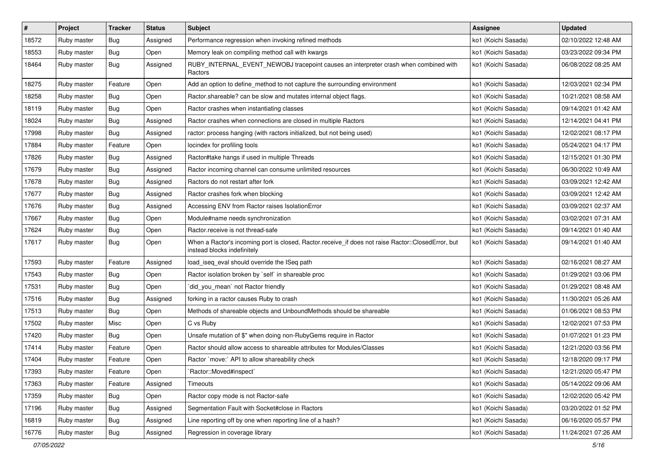| $\vert$ # | Project     | <b>Tracker</b> | <b>Status</b> | <b>Subject</b>                                                                                                                    | Assignee            | <b>Updated</b>      |
|-----------|-------------|----------------|---------------|-----------------------------------------------------------------------------------------------------------------------------------|---------------------|---------------------|
| 18572     | Ruby master | Bug            | Assigned      | Performance regression when invoking refined methods                                                                              | ko1 (Koichi Sasada) | 02/10/2022 12:48 AM |
| 18553     | Ruby master | Bug            | Open          | Memory leak on compiling method call with kwargs                                                                                  | ko1 (Koichi Sasada) | 03/23/2022 09:34 PM |
| 18464     | Ruby master | Bug            | Assigned      | RUBY_INTERNAL_EVENT_NEWOBJ tracepoint causes an interpreter crash when combined with<br>Ractors                                   | ko1 (Koichi Sasada) | 06/08/2022 08:25 AM |
| 18275     | Ruby master | Feature        | Open          | Add an option to define_method to not capture the surrounding environment                                                         | ko1 (Koichi Sasada) | 12/03/2021 02:34 PM |
| 18258     | Ruby master | Bug            | Open          | Ractor shareable? can be slow and mutates internal object flags.                                                                  | ko1 (Koichi Sasada) | 10/21/2021 08:58 AM |
| 18119     | Ruby master | Bug            | Open          | Ractor crashes when instantiating classes                                                                                         | ko1 (Koichi Sasada) | 09/14/2021 01:42 AM |
| 18024     | Ruby master | Bug            | Assigned      | Ractor crashes when connections are closed in multiple Ractors                                                                    | ko1 (Koichi Sasada) | 12/14/2021 04:41 PM |
| 17998     | Ruby master | <b>Bug</b>     | Assigned      | ractor: process hanging (with ractors initialized, but not being used)                                                            | ko1 (Koichi Sasada) | 12/02/2021 08:17 PM |
| 17884     | Ruby master | Feature        | Open          | locindex for profiling tools                                                                                                      | ko1 (Koichi Sasada) | 05/24/2021 04:17 PM |
| 17826     | Ruby master | Bug            | Assigned      | Ractor#take hangs if used in multiple Threads                                                                                     | ko1 (Koichi Sasada) | 12/15/2021 01:30 PM |
| 17679     | Ruby master | Bug            | Assigned      | Ractor incoming channel can consume unlimited resources                                                                           | ko1 (Koichi Sasada) | 06/30/2022 10:49 AM |
| 17678     | Ruby master | Bug            | Assigned      | Ractors do not restart after fork                                                                                                 | ko1 (Koichi Sasada) | 03/09/2021 12:42 AM |
| 17677     | Ruby master | Bug            | Assigned      | Ractor crashes fork when blocking                                                                                                 | ko1 (Koichi Sasada) | 03/09/2021 12:42 AM |
| 17676     | Ruby master | Bug            | Assigned      | Accessing ENV from Ractor raises IsolationError                                                                                   | ko1 (Koichi Sasada) | 03/09/2021 02:37 AM |
| 17667     | Ruby master | Bug            | Open          | Module#name needs synchronization                                                                                                 | ko1 (Koichi Sasada) | 03/02/2021 07:31 AM |
| 17624     | Ruby master | Bug            | Open          | Ractor.receive is not thread-safe                                                                                                 | ko1 (Koichi Sasada) | 09/14/2021 01:40 AM |
| 17617     | Ruby master | Bug            | Open          | When a Ractor's incoming port is closed, Ractor.receive_if does not raise Ractor::ClosedError, but<br>instead blocks indefinitely | ko1 (Koichi Sasada) | 09/14/2021 01:40 AM |
| 17593     | Ruby master | Feature        | Assigned      | load_iseq_eval should override the ISeq path                                                                                      | ko1 (Koichi Sasada) | 02/16/2021 08:27 AM |
| 17543     | Ruby master | Bug            | Open          | Ractor isolation broken by `self` in shareable proc                                                                               | ko1 (Koichi Sasada) | 01/29/2021 03:06 PM |
| 17531     | Ruby master | Bug            | Open          | `did_you_mean` not Ractor friendly                                                                                                | ko1 (Koichi Sasada) | 01/29/2021 08:48 AM |
| 17516     | Ruby master | Bug            | Assigned      | forking in a ractor causes Ruby to crash                                                                                          | ko1 (Koichi Sasada) | 11/30/2021 05:26 AM |
| 17513     | Ruby master | Bug            | Open          | Methods of shareable objects and UnboundMethods should be shareable                                                               | ko1 (Koichi Sasada) | 01/06/2021 08:53 PM |
| 17502     | Ruby master | Misc           | Open          | C vs Ruby                                                                                                                         | ko1 (Koichi Sasada) | 12/02/2021 07:53 PM |
| 17420     | Ruby master | Bug            | Open          | Unsafe mutation of \$" when doing non-RubyGems require in Ractor                                                                  | ko1 (Koichi Sasada) | 01/07/2021 01:23 PM |
| 17414     | Ruby master | Feature        | Open          | Ractor should allow access to shareable attributes for Modules/Classes                                                            | ko1 (Koichi Sasada) | 12/21/2020 03:56 PM |
| 17404     | Ruby master | Feature        | Open          | Ractor `move:` API to allow shareability check                                                                                    | ko1 (Koichi Sasada) | 12/18/2020 09:17 PM |
| 17393     | Ruby master | Feature        | Open          | Ractor::Moved#inspect`                                                                                                            | ko1 (Koichi Sasada) | 12/21/2020 05:47 PM |
| 17363     | Ruby master | Feature        | Assigned      | Timeouts                                                                                                                          | ko1 (Koichi Sasada) | 05/14/2022 09:06 AM |
| 17359     | Ruby master | <b>Bug</b>     | Open          | Ractor copy mode is not Ractor-safe                                                                                               | ko1 (Koichi Sasada) | 12/02/2020 05:42 PM |
| 17196     | Ruby master | <b>Bug</b>     | Assigned      | Segmentation Fault with Socket#close in Ractors                                                                                   | ko1 (Koichi Sasada) | 03/20/2022 01:52 PM |
| 16819     | Ruby master | Bug            | Assigned      | Line reporting off by one when reporting line of a hash?                                                                          | ko1 (Koichi Sasada) | 06/16/2020 05:57 PM |
| 16776     | Ruby master | Bug            | Assigned      | Regression in coverage library                                                                                                    | ko1 (Koichi Sasada) | 11/24/2021 07:26 AM |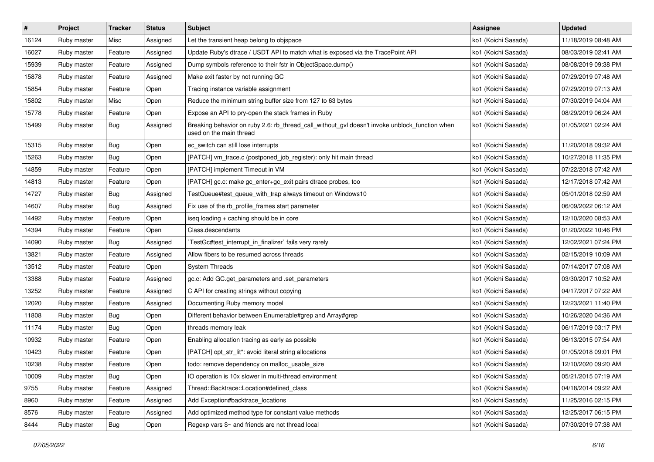| $\pmb{\#}$ | Project     | <b>Tracker</b> | <b>Status</b> | <b>Subject</b>                                                                                                            | <b>Assignee</b>     | <b>Updated</b>      |
|------------|-------------|----------------|---------------|---------------------------------------------------------------------------------------------------------------------------|---------------------|---------------------|
| 16124      | Ruby master | Misc           | Assigned      | Let the transient heap belong to objspace                                                                                 | ko1 (Koichi Sasada) | 11/18/2019 08:48 AM |
| 16027      | Ruby master | Feature        | Assigned      | Update Ruby's dtrace / USDT API to match what is exposed via the TracePoint API                                           | ko1 (Koichi Sasada) | 08/03/2019 02:41 AM |
| 15939      | Ruby master | Feature        | Assigned      | Dump symbols reference to their fstr in ObjectSpace.dump()                                                                | ko1 (Koichi Sasada) | 08/08/2019 09:38 PM |
| 15878      | Ruby master | Feature        | Assigned      | Make exit faster by not running GC                                                                                        | ko1 (Koichi Sasada) | 07/29/2019 07:48 AM |
| 15854      | Ruby master | Feature        | Open          | Tracing instance variable assignment                                                                                      | ko1 (Koichi Sasada) | 07/29/2019 07:13 AM |
| 15802      | Ruby master | Misc           | Open          | Reduce the minimum string buffer size from 127 to 63 bytes                                                                | ko1 (Koichi Sasada) | 07/30/2019 04:04 AM |
| 15778      | Ruby master | Feature        | Open          | Expose an API to pry-open the stack frames in Ruby                                                                        | ko1 (Koichi Sasada) | 08/29/2019 06:24 AM |
| 15499      | Ruby master | Bug            | Assigned      | Breaking behavior on ruby 2.6: rb_thread_call_without_gvl doesn't invoke unblock_function when<br>used on the main thread | ko1 (Koichi Sasada) | 01/05/2021 02:24 AM |
| 15315      | Ruby master | Bug            | Open          | ec_switch can still lose interrupts                                                                                       | ko1 (Koichi Sasada) | 11/20/2018 09:32 AM |
| 15263      | Ruby master | Bug            | Open          | [PATCH] vm_trace.c (postponed_job_register): only hit main thread                                                         | ko1 (Koichi Sasada) | 10/27/2018 11:35 PM |
| 14859      | Ruby master | Feature        | Open          | [PATCH] implement Timeout in VM                                                                                           | ko1 (Koichi Sasada) | 07/22/2018 07:42 AM |
| 14813      | Ruby master | Feature        | Open          | [PATCH] gc.c: make gc_enter+gc_exit pairs dtrace probes, too                                                              | ko1 (Koichi Sasada) | 12/17/2018 07:42 AM |
| 14727      | Ruby master | Bug            | Assigned      | TestQueue#test_queue_with_trap always timeout on Windows10                                                                | ko1 (Koichi Sasada) | 05/01/2018 02:59 AM |
| 14607      | Ruby master | Bug            | Assigned      | Fix use of the rb_profile_frames start parameter                                                                          | ko1 (Koichi Sasada) | 06/09/2022 06:12 AM |
| 14492      | Ruby master | Feature        | Open          | iseq loading + caching should be in core                                                                                  | ko1 (Koichi Sasada) | 12/10/2020 08:53 AM |
| 14394      | Ruby master | Feature        | Open          | Class.descendants                                                                                                         | ko1 (Koichi Sasada) | 01/20/2022 10:46 PM |
| 14090      | Ruby master | Bug            | Assigned      | TestGc#test_interrupt_in_finalizer` fails very rarely                                                                     | ko1 (Koichi Sasada) | 12/02/2021 07:24 PM |
| 13821      | Ruby master | Feature        | Assigned      | Allow fibers to be resumed across threads                                                                                 | ko1 (Koichi Sasada) | 02/15/2019 10:09 AM |
| 13512      | Ruby master | Feature        | Open          | <b>System Threads</b>                                                                                                     | ko1 (Koichi Sasada) | 07/14/2017 07:08 AM |
| 13388      | Ruby master | Feature        | Assigned      | gc.c: Add GC.get_parameters and .set_parameters                                                                           | ko1 (Koichi Sasada) | 03/30/2017 10:52 AM |
| 13252      | Ruby master | Feature        | Assigned      | C API for creating strings without copying                                                                                | ko1 (Koichi Sasada) | 04/17/2017 07:22 AM |
| 12020      | Ruby master | Feature        | Assigned      | Documenting Ruby memory model                                                                                             | ko1 (Koichi Sasada) | 12/23/2021 11:40 PM |
| 11808      | Ruby master | Bug            | Open          | Different behavior between Enumerable#grep and Array#grep                                                                 | ko1 (Koichi Sasada) | 10/26/2020 04:36 AM |
| 11174      | Ruby master | Bug            | Open          | threads memory leak                                                                                                       | ko1 (Koichi Sasada) | 06/17/2019 03:17 PM |
| 10932      | Ruby master | Feature        | Open          | Enabling allocation tracing as early as possible                                                                          | ko1 (Koichi Sasada) | 06/13/2015 07:54 AM |
| 10423      | Ruby master | Feature        | Open          | [PATCH] opt_str_lit*: avoid literal string allocations                                                                    | ko1 (Koichi Sasada) | 01/05/2018 09:01 PM |
| 10238      | Ruby master | Feature        | Open          | todo: remove dependency on malloc_usable_size                                                                             | ko1 (Koichi Sasada) | 12/10/2020 09:20 AM |
| 10009      | Ruby master | <b>Bug</b>     | Open          | IO operation is 10x slower in multi-thread environment                                                                    | ko1 (Koichi Sasada) | 05/21/2015 07:19 AM |
| 9755       | Ruby master | Feature        | Assigned      | Thread::Backtrace::Location#defined_class                                                                                 | ko1 (Koichi Sasada) | 04/18/2014 09:22 AM |
| 8960       | Ruby master | Feature        | Assigned      | Add Exception#backtrace_locations                                                                                         | ko1 (Koichi Sasada) | 11/25/2016 02:15 PM |
| 8576       | Ruby master | Feature        | Assigned      | Add optimized method type for constant value methods                                                                      | ko1 (Koichi Sasada) | 12/25/2017 06:15 PM |
| 8444       | Ruby master | <b>Bug</b>     | Open          | Regexp vars \$~ and friends are not thread local                                                                          | ko1 (Koichi Sasada) | 07/30/2019 07:38 AM |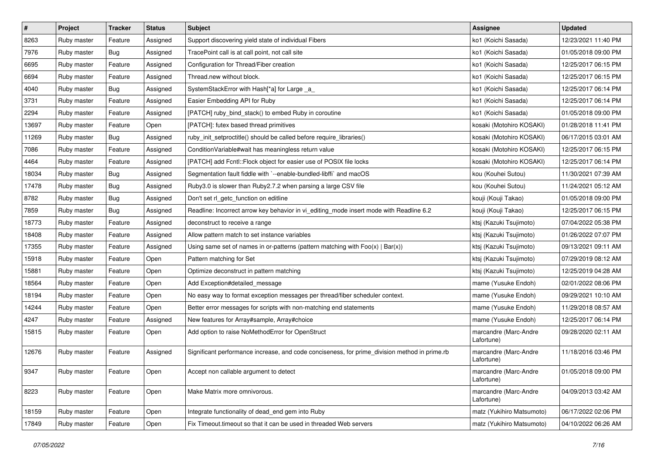| #     | Project     | <b>Tracker</b> | <b>Status</b> | Subject                                                                                       | <b>Assignee</b>                     | <b>Updated</b>      |
|-------|-------------|----------------|---------------|-----------------------------------------------------------------------------------------------|-------------------------------------|---------------------|
| 8263  | Ruby master | Feature        | Assigned      | Support discovering yield state of individual Fibers                                          | ko1 (Koichi Sasada)                 | 12/23/2021 11:40 PM |
| 7976  | Ruby master | Bug            | Assigned      | TracePoint call is at call point, not call site                                               | ko1 (Koichi Sasada)                 | 01/05/2018 09:00 PM |
| 6695  | Ruby master | Feature        | Assigned      | Configuration for Thread/Fiber creation                                                       | ko1 (Koichi Sasada)                 | 12/25/2017 06:15 PM |
| 6694  | Ruby master | Feature        | Assigned      | Thread.new without block.                                                                     | ko1 (Koichi Sasada)                 | 12/25/2017 06:15 PM |
| 4040  | Ruby master | Bug            | Assigned      | SystemStackError with Hash[*a] for Large _a_                                                  | ko1 (Koichi Sasada)                 | 12/25/2017 06:14 PM |
| 3731  | Ruby master | Feature        | Assigned      | Easier Embedding API for Ruby                                                                 | ko1 (Koichi Sasada)                 | 12/25/2017 06:14 PM |
| 2294  | Ruby master | Feature        | Assigned      | [PATCH] ruby_bind_stack() to embed Ruby in coroutine                                          | ko1 (Koichi Sasada)                 | 01/05/2018 09:00 PM |
| 13697 | Ruby master | Feature        | Open          | [PATCH]: futex based thread primitives                                                        | kosaki (Motohiro KOSAKI)            | 01/28/2018 11:41 PM |
| 11269 | Ruby master | <b>Bug</b>     | Assigned      | ruby_init_setproctitle() should be called before require_libraries()                          | kosaki (Motohiro KOSAKI)            | 06/17/2015 03:01 AM |
| 7086  | Ruby master | Feature        | Assigned      | ConditionVariable#wait has meaningless return value                                           | kosaki (Motohiro KOSAKI)            | 12/25/2017 06:15 PM |
| 4464  | Ruby master | Feature        | Assigned      | [PATCH] add Fcntl:: Flock object for easier use of POSIX file locks                           | kosaki (Motohiro KOSAKI)            | 12/25/2017 06:14 PM |
| 18034 | Ruby master | Bug            | Assigned      | Segmentation fault fiddle with `--enable-bundled-libffi` and macOS                            | kou (Kouhei Sutou)                  | 11/30/2021 07:39 AM |
| 17478 | Ruby master | Bug            | Assigned      | Ruby3.0 is slower than Ruby2.7.2 when parsing a large CSV file                                | kou (Kouhei Sutou)                  | 11/24/2021 05:12 AM |
| 8782  | Ruby master | Bug            | Assigned      | Don't set rl_getc_function on editline                                                        | kouji (Kouji Takao)                 | 01/05/2018 09:00 PM |
| 7859  | Ruby master | <b>Bug</b>     | Assigned      | Readline: Incorrect arrow key behavior in vi_editing_mode insert mode with Readline 6.2       | kouji (Kouji Takao)                 | 12/25/2017 06:15 PM |
| 18773 | Ruby master | Feature        | Assigned      | deconstruct to receive a range                                                                | ktsj (Kazuki Tsujimoto)             | 07/04/2022 05:38 PM |
| 18408 | Ruby master | Feature        | Assigned      | Allow pattern match to set instance variables                                                 | ktsj (Kazuki Tsujimoto)             | 01/26/2022 07:07 PM |
| 17355 | Ruby master | Feature        | Assigned      | Using same set of names in or-patterns (pattern matching with $Foo(x)   Bar(x)$ )             | ktsj (Kazuki Tsujimoto)             | 09/13/2021 09:11 AM |
| 15918 | Ruby master | Feature        | Open          | Pattern matching for Set                                                                      | ktsj (Kazuki Tsujimoto)             | 07/29/2019 08:12 AM |
| 15881 | Ruby master | Feature        | Open          | Optimize deconstruct in pattern matching                                                      | ktsj (Kazuki Tsujimoto)             | 12/25/2019 04:28 AM |
| 18564 | Ruby master | Feature        | Open          | Add Exception#detailed message                                                                | mame (Yusuke Endoh)                 | 02/01/2022 08:06 PM |
| 18194 | Ruby master | Feature        | Open          | No easy way to format exception messages per thread/fiber scheduler context.                  | mame (Yusuke Endoh)                 | 09/29/2021 10:10 AM |
| 14244 | Ruby master | Feature        | Open          | Better error messages for scripts with non-matching end statements                            | mame (Yusuke Endoh)                 | 11/29/2018 08:57 AM |
| 4247  | Ruby master | Feature        | Assigned      | New features for Array#sample, Array#choice                                                   | mame (Yusuke Endoh)                 | 12/25/2017 06:14 PM |
| 15815 | Ruby master | Feature        | Open          | Add option to raise NoMethodError for OpenStruct                                              | marcandre (Marc-Andre<br>Lafortune) | 09/28/2020 02:11 AM |
| 12676 | Ruby master | Feature        | Assigned      | Significant performance increase, and code conciseness, for prime_division method in prime.rb | marcandre (Marc-Andre<br>Lafortune) | 11/18/2016 03:46 PM |
| 9347  | Ruby master | Feature        | Open          | Accept non callable argument to detect                                                        | marcandre (Marc-Andre<br>Lafortune) | 01/05/2018 09:00 PM |
| 8223  | Ruby master | Feature        | Open          | Make Matrix more omnivorous.                                                                  | marcandre (Marc-Andre<br>Lafortune) | 04/09/2013 03:42 AM |
| 18159 | Ruby master | Feature        | Open          | Integrate functionality of dead end gem into Ruby                                             | matz (Yukihiro Matsumoto)           | 06/17/2022 02:06 PM |
| 17849 | Ruby master | Feature        | Open          | Fix Timeout.timeout so that it can be used in threaded Web servers                            | matz (Yukihiro Matsumoto)           | 04/10/2022 06:26 AM |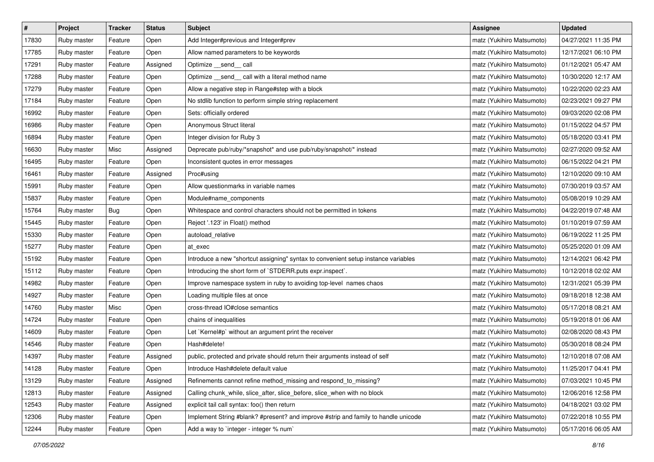| $\sharp$ | Project     | Tracker | <b>Status</b> | <b>Subject</b>                                                                     | <b>Assignee</b>           | <b>Updated</b>      |
|----------|-------------|---------|---------------|------------------------------------------------------------------------------------|---------------------------|---------------------|
| 17830    | Ruby master | Feature | Open          | Add Integer#previous and Integer#prev                                              | matz (Yukihiro Matsumoto) | 04/27/2021 11:35 PM |
| 17785    | Ruby master | Feature | Open          | Allow named parameters to be keywords                                              | matz (Yukihiro Matsumoto) | 12/17/2021 06:10 PM |
| 17291    | Ruby master | Feature | Assigned      | Optimize send call                                                                 | matz (Yukihiro Matsumoto) | 01/12/2021 05:47 AM |
| 17288    | Ruby master | Feature | Open          | Optimize _send_ call with a literal method name                                    | matz (Yukihiro Matsumoto) | 10/30/2020 12:17 AM |
| 17279    | Ruby master | Feature | Open          | Allow a negative step in Range#step with a block                                   | matz (Yukihiro Matsumoto) | 10/22/2020 02:23 AM |
| 17184    | Ruby master | Feature | Open          | No stdlib function to perform simple string replacement                            | matz (Yukihiro Matsumoto) | 02/23/2021 09:27 PM |
| 16992    | Ruby master | Feature | Open          | Sets: officially ordered                                                           | matz (Yukihiro Matsumoto) | 09/03/2020 02:08 PM |
| 16986    | Ruby master | Feature | Open          | Anonymous Struct literal                                                           | matz (Yukihiro Matsumoto) | 01/15/2022 04:57 PM |
| 16894    | Ruby master | Feature | Open          | Integer division for Ruby 3                                                        | matz (Yukihiro Matsumoto) | 05/18/2020 03:41 PM |
| 16630    | Ruby master | Misc    | Assigned      | Deprecate pub/ruby/*snapshot* and use pub/ruby/snapshot/* instead                  | matz (Yukihiro Matsumoto) | 02/27/2020 09:52 AM |
| 16495    | Ruby master | Feature | Open          | Inconsistent quotes in error messages                                              | matz (Yukihiro Matsumoto) | 06/15/2022 04:21 PM |
| 16461    | Ruby master | Feature | Assigned      | Proc#using                                                                         | matz (Yukihiro Matsumoto) | 12/10/2020 09:10 AM |
| 15991    | Ruby master | Feature | Open          | Allow questionmarks in variable names                                              | matz (Yukihiro Matsumoto) | 07/30/2019 03:57 AM |
| 15837    | Ruby master | Feature | Open          | Module#name components                                                             | matz (Yukihiro Matsumoto) | 05/08/2019 10:29 AM |
| 15764    | Ruby master | Bug     | Open          | Whitespace and control characters should not be permitted in tokens                | matz (Yukihiro Matsumoto) | 04/22/2019 07:48 AM |
| 15445    | Ruby master | Feature | Open          | Reject '.123' in Float() method                                                    | matz (Yukihiro Matsumoto) | 01/10/2019 07:59 AM |
| 15330    | Ruby master | Feature | Open          | autoload_relative                                                                  | matz (Yukihiro Matsumoto) | 06/19/2022 11:25 PM |
| 15277    | Ruby master | Feature | Open          | at_exec                                                                            | matz (Yukihiro Matsumoto) | 05/25/2020 01:09 AM |
| 15192    | Ruby master | Feature | Open          | Introduce a new "shortcut assigning" syntax to convenient setup instance variables | matz (Yukihiro Matsumoto) | 12/14/2021 06:42 PM |
| 15112    | Ruby master | Feature | Open          | Introducing the short form of `STDERR.puts expr.inspect`.                          | matz (Yukihiro Matsumoto) | 10/12/2018 02:02 AM |
| 14982    | Ruby master | Feature | Open          | Improve namespace system in ruby to avoiding top-level names chaos                 | matz (Yukihiro Matsumoto) | 12/31/2021 05:39 PM |
| 14927    | Ruby master | Feature | Open          | Loading multiple files at once                                                     | matz (Yukihiro Matsumoto) | 09/18/2018 12:38 AM |
| 14760    | Ruby master | Misc    | Open          | cross-thread IO#close semantics                                                    | matz (Yukihiro Matsumoto) | 05/17/2018 08:21 AM |
| 14724    | Ruby master | Feature | Open          | chains of inequalities                                                             | matz (Yukihiro Matsumoto) | 05/19/2018 01:06 AM |
| 14609    | Ruby master | Feature | Open          | Let `Kernel#p` without an argument print the receiver                              | matz (Yukihiro Matsumoto) | 02/08/2020 08:43 PM |
| 14546    | Ruby master | Feature | Open          | Hash#delete!                                                                       | matz (Yukihiro Matsumoto) | 05/30/2018 08:24 PM |
| 14397    | Ruby master | Feature | Assigned      | public, protected and private should return their arguments instead of self        | matz (Yukihiro Matsumoto) | 12/10/2018 07:08 AM |
| 14128    | Ruby master | Feature | Open          | Introduce Hash#delete default value                                                | matz (Yukihiro Matsumoto) | 11/25/2017 04:41 PM |
| 13129    | Ruby master | Feature | Assigned      | Refinements cannot refine method_missing and respond_to_missing?                   | matz (Yukihiro Matsumoto) | 07/03/2021 10:45 PM |
| 12813    | Ruby master | Feature | Assigned      | Calling chunk_while, slice_after, slice_before, slice_when with no block           | matz (Yukihiro Matsumoto) | 12/06/2016 12:58 PM |
| 12543    | Ruby master | Feature | Assigned      | explicit tail call syntax: foo() then return                                       | matz (Yukihiro Matsumoto) | 04/18/2021 03:02 PM |
| 12306    | Ruby master | Feature | Open          | Implement String #blank? #present? and improve #strip and family to handle unicode | matz (Yukihiro Matsumoto) | 07/22/2018 10:55 PM |
| 12244    | Ruby master | Feature | Open          | Add a way to `integer - integer % num`                                             | matz (Yukihiro Matsumoto) | 05/17/2016 06:05 AM |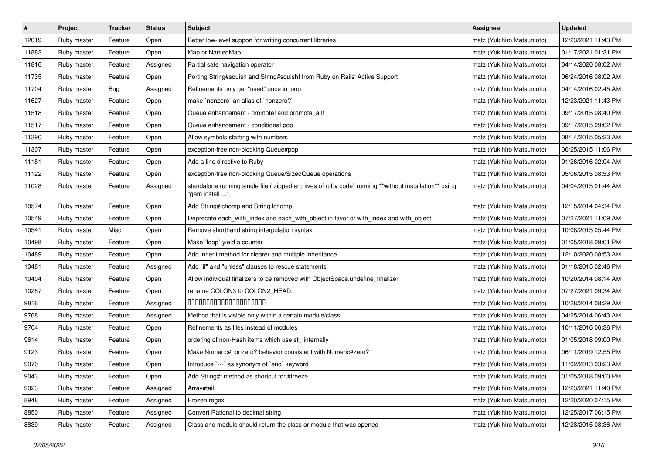| $\sharp$ | Project     | Tracker | <b>Status</b> | <b>Subject</b>                                                                                                          | <b>Assignee</b>           | <b>Updated</b>      |
|----------|-------------|---------|---------------|-------------------------------------------------------------------------------------------------------------------------|---------------------------|---------------------|
| 12019    | Ruby master | Feature | Open          | Better low-level support for writing concurrent libraries                                                               | matz (Yukihiro Matsumoto) | 12/23/2021 11:43 PM |
| 11882    | Ruby master | Feature | Open          | Map or NamedMap                                                                                                         | matz (Yukihiro Matsumoto) | 01/17/2021 01:31 PM |
| 11816    | Ruby master | Feature | Assigned      | Partial safe navigation operator                                                                                        | matz (Yukihiro Matsumoto) | 04/14/2020 08:02 AM |
| 11735    | Ruby master | Feature | Open          | Porting String#squish and String#squish! from Ruby on Rails' Active Support                                             | matz (Yukihiro Matsumoto) | 06/24/2016 08:02 AM |
| 11704    | Ruby master | Bug     | Assigned      | Refinements only get "used" once in loop                                                                                | matz (Yukihiro Matsumoto) | 04/14/2016 02:45 AM |
| 11627    | Ruby master | Feature | Open          | make `nonzero` an alias of `nonzero?`                                                                                   | matz (Yukihiro Matsumoto) | 12/23/2021 11:43 PM |
| 11518    | Ruby master | Feature | Open          | Queue enhancement - promote! and promote_all!                                                                           | matz (Yukihiro Matsumoto) | 09/17/2015 08:40 PM |
| 11517    | Ruby master | Feature | Open          | Queue enhancement - conditional pop                                                                                     | matz (Yukihiro Matsumoto) | 09/17/2015 09:02 PM |
| 11390    | Ruby master | Feature | Open          | Allow symbols starting with numbers                                                                                     | matz (Yukihiro Matsumoto) | 08/14/2015 05:23 AM |
| 11307    | Ruby master | Feature | Open          | exception-free non-blocking Queue#pop                                                                                   | matz (Yukihiro Matsumoto) | 06/25/2015 11:06 PM |
| 11181    | Ruby master | Feature | Open          | Add a line directive to Ruby                                                                                            | matz (Yukihiro Matsumoto) | 01/26/2016 02:04 AM |
| 11122    | Ruby master | Feature | Open          | exception-free non-blocking Queue/SizedQueue operations                                                                 | matz (Yukihiro Matsumoto) | 05/06/2015 08:53 PM |
| 11028    | Ruby master | Feature | Assigned      | standalone running single file ( zipped archives of ruby code) running **without installation** using<br>"gem install " | matz (Yukihiro Matsumoto) | 04/04/2015 01:44 AM |
| 10574    | Ruby master | Feature | Open          | Add String#Ichomp and String.Ichomp!                                                                                    | matz (Yukihiro Matsumoto) | 12/15/2014 04:34 PM |
| 10549    | Ruby master | Feature | Open          | Deprecate each_with_index and each_with_object in favor of with_index and with_object                                   | matz (Yukihiro Matsumoto) | 07/27/2021 11:09 AM |
| 10541    | Ruby master | Misc    | Open          | Remove shorthand string interpolation syntax                                                                            | matz (Yukihiro Matsumoto) | 10/08/2015 05:44 PM |
| 10498    | Ruby master | Feature | Open          | Make `loop` yield a counter                                                                                             | matz (Yukihiro Matsumoto) | 01/05/2018 09:01 PM |
| 10489    | Ruby master | Feature | Open          | Add inherit method for clearer and multiple inheritance                                                                 | matz (Yukihiro Matsumoto) | 12/10/2020 08:53 AM |
| 10481    | Ruby master | Feature | Assigned      | Add "if" and "unless" clauses to rescue statements                                                                      | matz (Yukihiro Matsumoto) | 01/18/2015 02:46 PM |
| 10404    | Ruby master | Feature | Open          | Allow individual finalizers to be removed with ObjectSpace.undefine_finalizer                                           | matz (Yukihiro Matsumoto) | 10/20/2014 08:14 AM |
| 10287    | Ruby master | Feature | Open          | rename COLON3 to COLON2_HEAD.                                                                                           | matz (Yukihiro Matsumoto) | 07/27/2021 09:34 AM |
| 9816     | Ruby master | Feature | Assigned      | 00000000000000000000                                                                                                    | matz (Yukihiro Matsumoto) | 10/28/2014 08:29 AM |
| 9768     | Ruby master | Feature | Assigned      | Method that is visible only within a certain module/class                                                               | matz (Yukihiro Matsumoto) | 04/25/2014 06:43 AM |
| 9704     | Ruby master | Feature | Open          | Refinements as files instead of modules                                                                                 | matz (Yukihiro Matsumoto) | 10/11/2016 06:36 PM |
| 9614     | Ruby master | Feature | Open          | ordering of non-Hash items which use st_internally                                                                      | matz (Yukihiro Matsumoto) | 01/05/2018 09:00 PM |
| 9123     | Ruby master | Feature | Open          | Make Numeric#nonzero? behavior consistent with Numeric#zero?                                                            | matz (Yukihiro Matsumoto) | 06/11/2019 12:55 PM |
| 9070     | Ruby master | Feature | Open          | Introduce `---` as synonym of `end` keyword                                                                             | matz (Yukihiro Matsumoto) | 11/02/2013 03:23 AM |
| 9043     | Ruby master | Feature | Open          | Add String#f method as shortcut for #freeze                                                                             | matz (Yukihiro Matsumoto) | 01/05/2018 09:00 PM |
| 9023     | Ruby master | Feature | Assigned      | Array#tail                                                                                                              | matz (Yukihiro Matsumoto) | 12/23/2021 11:40 PM |
| 8948     | Ruby master | Feature | Assigned      | Frozen regex                                                                                                            | matz (Yukihiro Matsumoto) | 12/20/2020 07:15 PM |
| 8850     | Ruby master | Feature | Assigned      | Convert Rational to decimal string                                                                                      | matz (Yukihiro Matsumoto) | 12/25/2017 06:15 PM |
| 8839     | Ruby master | Feature | Assigned      | Class and module should return the class or module that was opened                                                      | matz (Yukihiro Matsumoto) | 12/28/2015 08:36 AM |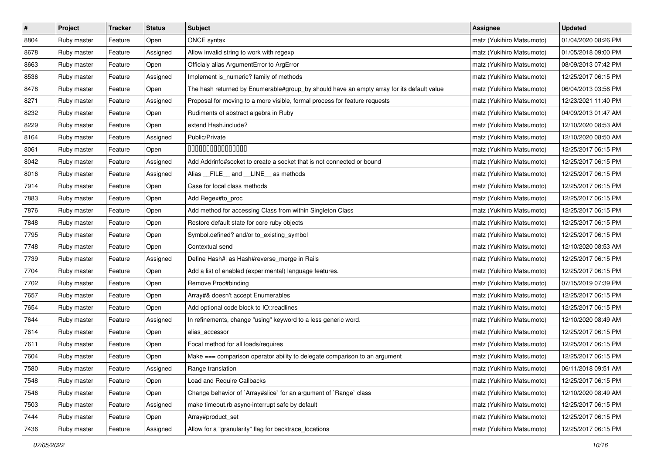| $\pmb{\#}$ | Project     | <b>Tracker</b> | <b>Status</b> | <b>Subject</b>                                                                            | <b>Assignee</b>           | <b>Updated</b>      |
|------------|-------------|----------------|---------------|-------------------------------------------------------------------------------------------|---------------------------|---------------------|
| 8804       | Ruby master | Feature        | Open          | <b>ONCE syntax</b>                                                                        | matz (Yukihiro Matsumoto) | 01/04/2020 08:26 PM |
| 8678       | Ruby master | Feature        | Assigned      | Allow invalid string to work with regexp                                                  | matz (Yukihiro Matsumoto) | 01/05/2018 09:00 PM |
| 8663       | Ruby master | Feature        | Open          | Officialy alias ArgumentError to ArgError                                                 | matz (Yukihiro Matsumoto) | 08/09/2013 07:42 PM |
| 8536       | Ruby master | Feature        | Assigned      | Implement is_numeric? family of methods                                                   | matz (Yukihiro Matsumoto) | 12/25/2017 06:15 PM |
| 8478       | Ruby master | Feature        | Open          | The hash returned by Enumerable#group_by should have an empty array for its default value | matz (Yukihiro Matsumoto) | 06/04/2013 03:56 PM |
| 8271       | Ruby master | Feature        | Assigned      | Proposal for moving to a more visible, formal process for feature requests                | matz (Yukihiro Matsumoto) | 12/23/2021 11:40 PM |
| 8232       | Ruby master | Feature        | Open          | Rudiments of abstract algebra in Ruby                                                     | matz (Yukihiro Matsumoto) | 04/09/2013 01:47 AM |
| 8229       | Ruby master | Feature        | Open          | extend Hash.include?                                                                      | matz (Yukihiro Matsumoto) | 12/10/2020 08:53 AM |
| 8164       | Ruby master | Feature        | Assigned      | Public/Private                                                                            | matz (Yukihiro Matsumoto) | 12/10/2020 08:50 AM |
| 8061       | Ruby master | Feature        | Open          | 000000000000000                                                                           | matz (Yukihiro Matsumoto) | 12/25/2017 06:15 PM |
| 8042       | Ruby master | Feature        | Assigned      | Add Addrinfo#socket to create a socket that is not connected or bound                     | matz (Yukihiro Matsumoto) | 12/25/2017 06:15 PM |
| 8016       | Ruby master | Feature        | Assigned      | Alias FILE and LINE as methods                                                            | matz (Yukihiro Matsumoto) | 12/25/2017 06:15 PM |
| 7914       | Ruby master | Feature        | Open          | Case for local class methods                                                              | matz (Yukihiro Matsumoto) | 12/25/2017 06:15 PM |
| 7883       | Ruby master | Feature        | Open          | Add Regex#to_proc                                                                         | matz (Yukihiro Matsumoto) | 12/25/2017 06:15 PM |
| 7876       | Ruby master | Feature        | Open          | Add method for accessing Class from within Singleton Class                                | matz (Yukihiro Matsumoto) | 12/25/2017 06:15 PM |
| 7848       | Ruby master | Feature        | Open          | Restore default state for core ruby objects                                               | matz (Yukihiro Matsumoto) | 12/25/2017 06:15 PM |
| 7795       | Ruby master | Feature        | Open          | Symbol.defined? and/or to_existing_symbol                                                 | matz (Yukihiro Matsumoto) | 12/25/2017 06:15 PM |
| 7748       | Ruby master | Feature        | Open          | Contextual send                                                                           | matz (Yukihiro Matsumoto) | 12/10/2020 08:53 AM |
| 7739       | Ruby master | Feature        | Assigned      | Define Hash#  as Hash#reverse_merge in Rails                                              | matz (Yukihiro Matsumoto) | 12/25/2017 06:15 PM |
| 7704       | Ruby master | Feature        | Open          | Add a list of enabled (experimental) language features.                                   | matz (Yukihiro Matsumoto) | 12/25/2017 06:15 PM |
| 7702       | Ruby master | Feature        | Open          | Remove Proc#binding                                                                       | matz (Yukihiro Matsumoto) | 07/15/2019 07:39 PM |
| 7657       | Ruby master | Feature        | Open          | Array#& doesn't accept Enumerables                                                        | matz (Yukihiro Matsumoto) | 12/25/2017 06:15 PM |
| 7654       | Ruby master | Feature        | Open          | Add optional code block to IO::readlines                                                  | matz (Yukihiro Matsumoto) | 12/25/2017 06:15 PM |
| 7644       | Ruby master | Feature        | Assigned      | In refinements, change "using" keyword to a less generic word.                            | matz (Yukihiro Matsumoto) | 12/10/2020 08:49 AM |
| 7614       | Ruby master | Feature        | Open          | alias_accessor                                                                            | matz (Yukihiro Matsumoto) | 12/25/2017 06:15 PM |
| 7611       | Ruby master | Feature        | Open          | Focal method for all loads/requires                                                       | matz (Yukihiro Matsumoto) | 12/25/2017 06:15 PM |
| 7604       | Ruby master | Feature        | Open          | Make === comparison operator ability to delegate comparison to an argument                | matz (Yukihiro Matsumoto) | 12/25/2017 06:15 PM |
| 7580       | Ruby master | Feature        | Assigned      | Range translation                                                                         | matz (Yukihiro Matsumoto) | 06/11/2018 09:51 AM |
| 7548       | Ruby master | Feature        | Open          | Load and Require Callbacks                                                                | matz (Yukihiro Matsumoto) | 12/25/2017 06:15 PM |
| 7546       | Ruby master | Feature        | Open          | Change behavior of `Array#slice` for an argument of `Range` class                         | matz (Yukihiro Matsumoto) | 12/10/2020 08:49 AM |
| 7503       | Ruby master | Feature        | Assigned      | make timeout.rb async-interrupt safe by default                                           | matz (Yukihiro Matsumoto) | 12/25/2017 06:15 PM |
| 7444       | Ruby master | Feature        | Open          | Array#product_set                                                                         | matz (Yukihiro Matsumoto) | 12/25/2017 06:15 PM |
| 7436       | Ruby master | Feature        | Assigned      | Allow for a "granularity" flag for backtrace_locations                                    | matz (Yukihiro Matsumoto) | 12/25/2017 06:15 PM |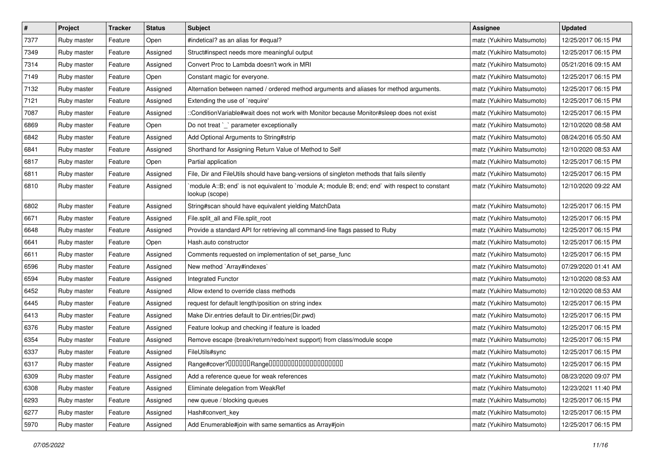| $\pmb{\#}$ | Project     | <b>Tracker</b> | <b>Status</b> | Subject                                                                                                          | <b>Assignee</b>           | <b>Updated</b>      |
|------------|-------------|----------------|---------------|------------------------------------------------------------------------------------------------------------------|---------------------------|---------------------|
| 7377       | Ruby master | Feature        | Open          | #indetical? as an alias for #equal?                                                                              | matz (Yukihiro Matsumoto) | 12/25/2017 06:15 PM |
| 7349       | Ruby master | Feature        | Assigned      | Struct#inspect needs more meaningful output                                                                      | matz (Yukihiro Matsumoto) | 12/25/2017 06:15 PM |
| 7314       | Ruby master | Feature        | Assigned      | Convert Proc to Lambda doesn't work in MRI                                                                       | matz (Yukihiro Matsumoto) | 05/21/2016 09:15 AM |
| 7149       | Ruby master | Feature        | Open          | Constant magic for everyone.                                                                                     | matz (Yukihiro Matsumoto) | 12/25/2017 06:15 PM |
| 7132       | Ruby master | Feature        | Assigned      | Alternation between named / ordered method arguments and aliases for method arguments.                           | matz (Yukihiro Matsumoto) | 12/25/2017 06:15 PM |
| 7121       | Ruby master | Feature        | Assigned      | Extending the use of `require'                                                                                   | matz (Yukihiro Matsumoto) | 12/25/2017 06:15 PM |
| 7087       | Ruby master | Feature        | Assigned      | ::ConditionVariable#wait does not work with Monitor because Monitor#sleep does not exist                         | matz (Yukihiro Matsumoto) | 12/25/2017 06:15 PM |
| 6869       | Ruby master | Feature        | Open          | Do not treat `_` parameter exceptionally                                                                         | matz (Yukihiro Matsumoto) | 12/10/2020 08:58 AM |
| 6842       | Ruby master | Feature        | Assigned      | Add Optional Arguments to String#strip                                                                           | matz (Yukihiro Matsumoto) | 08/24/2016 05:50 AM |
| 6841       | Ruby master | Feature        | Assigned      | Shorthand for Assigning Return Value of Method to Self                                                           | matz (Yukihiro Matsumoto) | 12/10/2020 08:53 AM |
| 6817       | Ruby master | Feature        | Open          | Partial application                                                                                              | matz (Yukihiro Matsumoto) | 12/25/2017 06:15 PM |
| 6811       | Ruby master | Feature        | Assigned      | File, Dir and FileUtils should have bang-versions of singleton methods that fails silently                       | matz (Yukihiro Matsumoto) | 12/25/2017 06:15 PM |
| 6810       | Ruby master | Feature        | Assigned      | module A::B; end` is not equivalent to `module A; module B; end; end` with respect to constant<br>lookup (scope) | matz (Yukihiro Matsumoto) | 12/10/2020 09:22 AM |
| 6802       | Ruby master | Feature        | Assigned      | String#scan should have equivalent yielding MatchData                                                            | matz (Yukihiro Matsumoto) | 12/25/2017 06:15 PM |
| 6671       | Ruby master | Feature        | Assigned      | File.split_all and File.split_root                                                                               | matz (Yukihiro Matsumoto) | 12/25/2017 06:15 PM |
| 6648       | Ruby master | Feature        | Assigned      | Provide a standard API for retrieving all command-line flags passed to Ruby                                      | matz (Yukihiro Matsumoto) | 12/25/2017 06:15 PM |
| 6641       | Ruby master | Feature        | Open          | Hash.auto constructor                                                                                            | matz (Yukihiro Matsumoto) | 12/25/2017 06:15 PM |
| 6611       | Ruby master | Feature        | Assigned      | Comments requested on implementation of set_parse_func                                                           | matz (Yukihiro Matsumoto) | 12/25/2017 06:15 PM |
| 6596       | Ruby master | Feature        | Assigned      | New method `Array#indexes`                                                                                       | matz (Yukihiro Matsumoto) | 07/29/2020 01:41 AM |
| 6594       | Ruby master | Feature        | Assigned      | Integrated Functor                                                                                               | matz (Yukihiro Matsumoto) | 12/10/2020 08:53 AM |
| 6452       | Ruby master | Feature        | Assigned      | Allow extend to override class methods                                                                           | matz (Yukihiro Matsumoto) | 12/10/2020 08:53 AM |
| 6445       | Ruby master | Feature        | Assigned      | request for default length/position on string index                                                              | matz (Yukihiro Matsumoto) | 12/25/2017 06:15 PM |
| 6413       | Ruby master | Feature        | Assigned      | Make Dir.entries default to Dir.entries(Dir.pwd)                                                                 | matz (Yukihiro Matsumoto) | 12/25/2017 06:15 PM |
| 6376       | Ruby master | Feature        | Assigned      | Feature lookup and checking if feature is loaded                                                                 | matz (Yukihiro Matsumoto) | 12/25/2017 06:15 PM |
| 6354       | Ruby master | Feature        | Assigned      | Remove escape (break/return/redo/next support) from class/module scope                                           | matz (Yukihiro Matsumoto) | 12/25/2017 06:15 PM |
| 6337       | Ruby master | Feature        | Assigned      | FileUtils#sync                                                                                                   | matz (Yukihiro Matsumoto) | 12/25/2017 06:15 PM |
| 6317       | Ruby master | Feature        | Assigned      |                                                                                                                  | matz (Yukihiro Matsumoto) | 12/25/2017 06:15 PM |
| 6309       | Ruby master | Feature        | Assigned      | Add a reference queue for weak references                                                                        | matz (Yukihiro Matsumoto) | 08/23/2020 09:07 PM |
| 6308       | Ruby master | Feature        | Assigned      | Eliminate delegation from WeakRef                                                                                | matz (Yukihiro Matsumoto) | 12/23/2021 11:40 PM |
| 6293       | Ruby master | Feature        | Assigned      | new queue / blocking queues                                                                                      | matz (Yukihiro Matsumoto) | 12/25/2017 06:15 PM |
| 6277       | Ruby master | Feature        | Assigned      | Hash#convert_key                                                                                                 | matz (Yukihiro Matsumoto) | 12/25/2017 06:15 PM |
| 5970       | Ruby master | Feature        | Assigned      | Add Enumerable#join with same semantics as Array#join                                                            | matz (Yukihiro Matsumoto) | 12/25/2017 06:15 PM |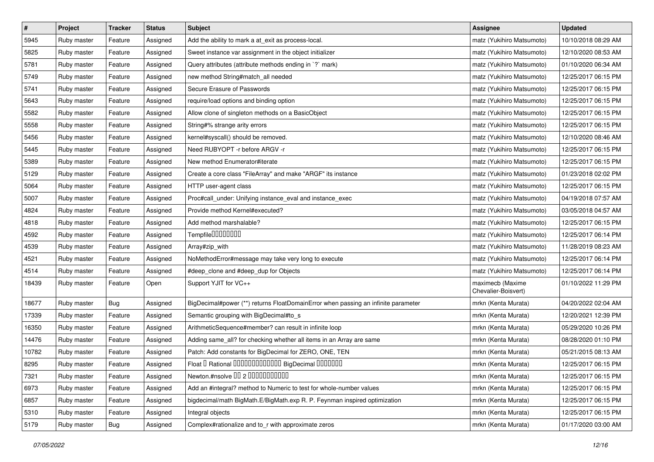| $\pmb{\#}$ | Project     | <b>Tracker</b> | <b>Status</b> | <b>Subject</b>                                                                    | Assignee                                | <b>Updated</b>      |
|------------|-------------|----------------|---------------|-----------------------------------------------------------------------------------|-----------------------------------------|---------------------|
| 5945       | Ruby master | Feature        | Assigned      | Add the ability to mark a at_exit as process-local.                               | matz (Yukihiro Matsumoto)               | 10/10/2018 08:29 AM |
| 5825       | Ruby master | Feature        | Assigned      | Sweet instance var assignment in the object initializer                           | matz (Yukihiro Matsumoto)               | 12/10/2020 08:53 AM |
| 5781       | Ruby master | Feature        | Assigned      | Query attributes (attribute methods ending in `?` mark)                           | matz (Yukihiro Matsumoto)               | 01/10/2020 06:34 AM |
| 5749       | Ruby master | Feature        | Assigned      | new method String#match_all needed                                                | matz (Yukihiro Matsumoto)               | 12/25/2017 06:15 PM |
| 5741       | Ruby master | Feature        | Assigned      | Secure Erasure of Passwords                                                       | matz (Yukihiro Matsumoto)               | 12/25/2017 06:15 PM |
| 5643       | Ruby master | Feature        | Assigned      | require/load options and binding option                                           | matz (Yukihiro Matsumoto)               | 12/25/2017 06:15 PM |
| 5582       | Ruby master | Feature        | Assigned      | Allow clone of singleton methods on a BasicObject                                 | matz (Yukihiro Matsumoto)               | 12/25/2017 06:15 PM |
| 5558       | Ruby master | Feature        | Assigned      | String#% strange arity errors                                                     | matz (Yukihiro Matsumoto)               | 12/25/2017 06:15 PM |
| 5456       | Ruby master | Feature        | Assigned      | kernel#syscall() should be removed.                                               | matz (Yukihiro Matsumoto)               | 12/10/2020 08:46 AM |
| 5445       | Ruby master | Feature        | Assigned      | Need RUBYOPT -r before ARGV -r                                                    | matz (Yukihiro Matsumoto)               | 12/25/2017 06:15 PM |
| 5389       | Ruby master | Feature        | Assigned      | New method Enumerator#iterate                                                     | matz (Yukihiro Matsumoto)               | 12/25/2017 06:15 PM |
| 5129       | Ruby master | Feature        | Assigned      | Create a core class "FileArray" and make "ARGF" its instance                      | matz (Yukihiro Matsumoto)               | 01/23/2018 02:02 PM |
| 5064       | Ruby master | Feature        | Assigned      | HTTP user-agent class                                                             | matz (Yukihiro Matsumoto)               | 12/25/2017 06:15 PM |
| 5007       | Ruby master | Feature        | Assigned      | Proc#call_under: Unifying instance_eval and instance_exec                         | matz (Yukihiro Matsumoto)               | 04/19/2018 07:57 AM |
| 4824       | Ruby master | Feature        | Assigned      | Provide method Kernel#executed?                                                   | matz (Yukihiro Matsumoto)               | 03/05/2018 04:57 AM |
| 4818       | Ruby master | Feature        | Assigned      | Add method marshalable?                                                           | matz (Yukihiro Matsumoto)               | 12/25/2017 06:15 PM |
| 4592       | Ruby master | Feature        | Assigned      | Tempfile0000000                                                                   | matz (Yukihiro Matsumoto)               | 12/25/2017 06:14 PM |
| 4539       | Ruby master | Feature        | Assigned      | Array#zip_with                                                                    | matz (Yukihiro Matsumoto)               | 11/28/2019 08:23 AM |
| 4521       | Ruby master | Feature        | Assigned      | NoMethodError#message may take very long to execute                               | matz (Yukihiro Matsumoto)               | 12/25/2017 06:14 PM |
| 4514       | Ruby master | Feature        | Assigned      | #deep_clone and #deep_dup for Objects                                             | matz (Yukihiro Matsumoto)               | 12/25/2017 06:14 PM |
| 18439      | Ruby master | Feature        | Open          | Support YJIT for VC++                                                             | maximecb (Maxime<br>Chevalier-Boisvert) | 01/10/2022 11:29 PM |
| 18677      | Ruby master | Bug            | Assigned      | BigDecimal#power (**) returns FloatDomainError when passing an infinite parameter | mrkn (Kenta Murata)                     | 04/20/2022 02:04 AM |
| 17339      | Ruby master | Feature        | Assigned      | Semantic grouping with BigDecimal#to_s                                            | mrkn (Kenta Murata)                     | 12/20/2021 12:39 PM |
| 16350      | Ruby master | Feature        | Assigned      | ArithmeticSequence#member? can result in infinite loop                            | mrkn (Kenta Murata)                     | 05/29/2020 10:26 PM |
| 14476      | Ruby master | Feature        | Assigned      | Adding same_all? for checking whether all items in an Array are same              | mrkn (Kenta Murata)                     | 08/28/2020 01:10 PM |
| 10782      | Ruby master | Feature        | Assigned      | Patch: Add constants for BigDecimal for ZERO, ONE, TEN                            | mrkn (Kenta Murata)                     | 05/21/2015 08:13 AM |
| 8295       | Ruby master | Feature        | Assigned      | Float I Rational IIIIIIIIIIIIIIIIIII BigDecimal IIIIIIIIII                        | mrkn (Kenta Murata)                     | 12/25/2017 06:15 PM |
| 7321       | Ruby master | Feature        | Assigned      | Newton.#nsolve 00 2 0000000000                                                    | mrkn (Kenta Murata)                     | 12/25/2017 06:15 PM |
| 6973       | Ruby master | Feature        | Assigned      | Add an #integral? method to Numeric to test for whole-number values               | mrkn (Kenta Murata)                     | 12/25/2017 06:15 PM |
| 6857       | Ruby master | Feature        | Assigned      | bigdecimal/math BigMath.E/BigMath.exp R. P. Feynman inspired optimization         | mrkn (Kenta Murata)                     | 12/25/2017 06:15 PM |
| 5310       | Ruby master | Feature        | Assigned      | Integral objects                                                                  | mrkn (Kenta Murata)                     | 12/25/2017 06:15 PM |
| 5179       | Ruby master | <b>Bug</b>     | Assigned      | Complex#rationalize and to_r with approximate zeros                               | mrkn (Kenta Murata)                     | 01/17/2020 03:00 AM |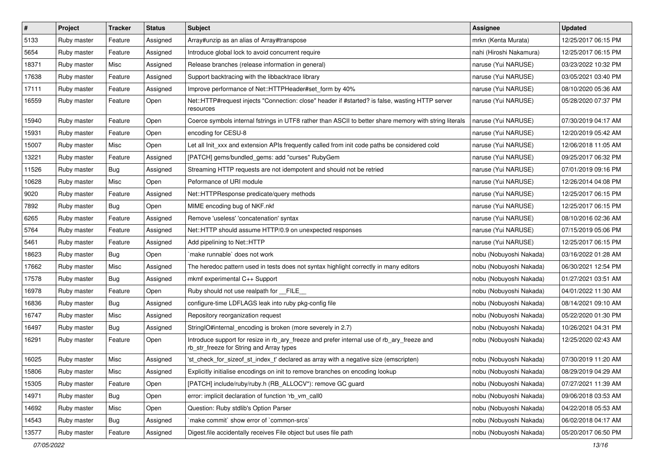| $\pmb{\#}$ | Project     | <b>Tracker</b> | <b>Status</b> | <b>Subject</b>                                                                                                                         | <b>Assignee</b>         | <b>Updated</b>      |
|------------|-------------|----------------|---------------|----------------------------------------------------------------------------------------------------------------------------------------|-------------------------|---------------------|
| 5133       | Ruby master | Feature        | Assigned      | Array#unzip as an alias of Array#transpose                                                                                             | mrkn (Kenta Murata)     | 12/25/2017 06:15 PM |
| 5654       | Ruby master | Feature        | Assigned      | Introduce global lock to avoid concurrent require                                                                                      | nahi (Hiroshi Nakamura) | 12/25/2017 06:15 PM |
| 18371      | Ruby master | Misc           | Assigned      | Release branches (release information in general)                                                                                      | naruse (Yui NARUSE)     | 03/23/2022 10:32 PM |
| 17638      | Ruby master | Feature        | Assigned      | Support backtracing with the libbacktrace library                                                                                      | naruse (Yui NARUSE)     | 03/05/2021 03:40 PM |
| 17111      | Ruby master | Feature        | Assigned      | Improve performance of Net::HTTPHeader#set_form by 40%                                                                                 | naruse (Yui NARUSE)     | 08/10/2020 05:36 AM |
| 16559      | Ruby master | Feature        | Open          | Net::HTTP#request injects "Connection: close" header if #started? is false, wasting HTTP server<br>resources                           | naruse (Yui NARUSE)     | 05/28/2020 07:37 PM |
| 15940      | Ruby master | Feature        | Open          | Coerce symbols internal fstrings in UTF8 rather than ASCII to better share memory with string literals                                 | naruse (Yui NARUSE)     | 07/30/2019 04:17 AM |
| 15931      | Ruby master | Feature        | Open          | encoding for CESU-8                                                                                                                    | naruse (Yui NARUSE)     | 12/20/2019 05:42 AM |
| 15007      | Ruby master | Misc           | Open          | Let all Init_xxx and extension APIs frequently called from init code paths be considered cold                                          | naruse (Yui NARUSE)     | 12/06/2018 11:05 AM |
| 13221      | Ruby master | Feature        | Assigned      | [PATCH] gems/bundled_gems: add "curses" RubyGem                                                                                        | naruse (Yui NARUSE)     | 09/25/2017 06:32 PM |
| 11526      | Ruby master | Bug            | Assigned      | Streaming HTTP requests are not idempotent and should not be retried                                                                   | naruse (Yui NARUSE)     | 07/01/2019 09:16 PM |
| 10628      | Ruby master | Misc           | Open          | Peformance of URI module                                                                                                               | naruse (Yui NARUSE)     | 12/26/2014 04:08 PM |
| 9020       | Ruby master | Feature        | Assigned      | Net::HTTPResponse predicate/query methods                                                                                              | naruse (Yui NARUSE)     | 12/25/2017 06:15 PM |
| 7892       | Ruby master | Bug            | Open          | MIME encoding bug of NKF.nkf                                                                                                           | naruse (Yui NARUSE)     | 12/25/2017 06:15 PM |
| 6265       | Ruby master | Feature        | Assigned      | Remove 'useless' 'concatenation' syntax                                                                                                | naruse (Yui NARUSE)     | 08/10/2016 02:36 AM |
| 5764       | Ruby master | Feature        | Assigned      | Net::HTTP should assume HTTP/0.9 on unexpected responses                                                                               | naruse (Yui NARUSE)     | 07/15/2019 05:06 PM |
| 5461       | Ruby master | Feature        | Assigned      | Add pipelining to Net::HTTP                                                                                                            | naruse (Yui NARUSE)     | 12/25/2017 06:15 PM |
| 18623      | Ruby master | <b>Bug</b>     | Open          | make runnable' does not work                                                                                                           | nobu (Nobuyoshi Nakada) | 03/16/2022 01:28 AM |
| 17662      | Ruby master | Misc           | Assigned      | The heredoc pattern used in tests does not syntax highlight correctly in many editors                                                  | nobu (Nobuyoshi Nakada) | 06/30/2021 12:54 PM |
| 17578      | Ruby master | Bug            | Assigned      | mkmf experimental C++ Support                                                                                                          | nobu (Nobuyoshi Nakada) | 01/27/2021 03:51 AM |
| 16978      | Ruby master | Feature        | Open          | Ruby should not use realpath for __FILE_                                                                                               | nobu (Nobuyoshi Nakada) | 04/01/2022 11:30 AM |
| 16836      | Ruby master | <b>Bug</b>     | Assigned      | configure-time LDFLAGS leak into ruby pkg-config file                                                                                  | nobu (Nobuyoshi Nakada) | 08/14/2021 09:10 AM |
| 16747      | Ruby master | Misc           | Assigned      | Repository reorganization request                                                                                                      | nobu (Nobuyoshi Nakada) | 05/22/2020 01:30 PM |
| 16497      | Ruby master | Bug            | Assigned      | StringIO#internal_encoding is broken (more severely in 2.7)                                                                            | nobu (Nobuyoshi Nakada) | 10/26/2021 04:31 PM |
| 16291      | Ruby master | Feature        | Open          | Introduce support for resize in rb_ary_freeze and prefer internal use of rb_ary_freeze and<br>rb_str_freeze for String and Array types | nobu (Nobuyoshi Nakada) | 12/25/2020 02:43 AM |
| 16025      | Ruby master | Misc           | Assigned      | 'st_check_for_sizeof_st_index_t' declared as array with a negative size (emscripten)                                                   | nobu (Nobuyoshi Nakada) | 07/30/2019 11:20 AM |
| 15806      | Ruby master | Misc           | Assigned      | Explicitly initialise encodings on init to remove branches on encoding lookup                                                          | nobu (Nobuyoshi Nakada) | 08/29/2019 04:29 AM |
| 15305      | Ruby master | Feature        | Open          | [PATCH] include/ruby/ruby.h (RB_ALLOCV*): remove GC guard                                                                              | nobu (Nobuyoshi Nakada) | 07/27/2021 11:39 AM |
| 14971      | Ruby master | Bug            | Open          | error: implicit declaration of function 'rb_vm_call0                                                                                   | nobu (Nobuyoshi Nakada) | 09/06/2018 03:53 AM |
| 14692      | Ruby master | Misc           | Open          | Question: Ruby stdlib's Option Parser                                                                                                  | nobu (Nobuyoshi Nakada) | 04/22/2018 05:53 AM |
| 14543      | Ruby master | <b>Bug</b>     | Assigned      | `make commit` show error of `common-srcs`                                                                                              | nobu (Nobuyoshi Nakada) | 06/02/2018 04:17 AM |
| 13577      | Ruby master | Feature        | Assigned      | Digest.file accidentally receives File object but uses file path                                                                       | nobu (Nobuyoshi Nakada) | 05/20/2017 06:50 PM |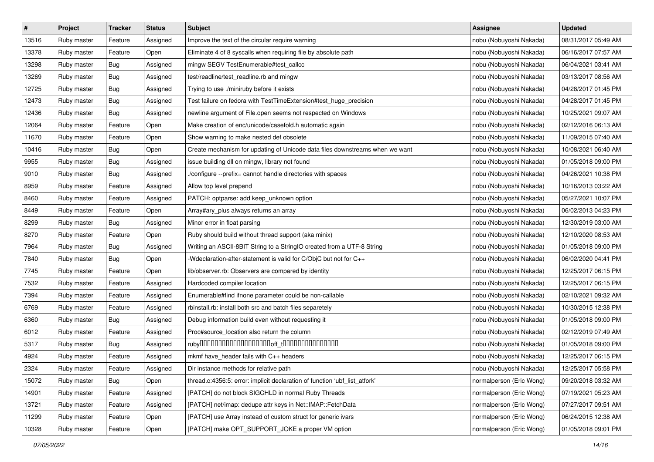| $\pmb{\#}$ | Project     | <b>Tracker</b> | <b>Status</b> | <b>Subject</b>                                                               | Assignee                 | <b>Updated</b>      |
|------------|-------------|----------------|---------------|------------------------------------------------------------------------------|--------------------------|---------------------|
| 13516      | Ruby master | Feature        | Assigned      | Improve the text of the circular require warning                             | nobu (Nobuyoshi Nakada)  | 08/31/2017 05:49 AM |
| 13378      | Ruby master | Feature        | Open          | Eliminate 4 of 8 syscalls when requiring file by absolute path               | nobu (Nobuyoshi Nakada)  | 06/16/2017 07:57 AM |
| 13298      | Ruby master | Bug            | Assigned      | mingw SEGV TestEnumerable#test_callcc                                        | nobu (Nobuyoshi Nakada)  | 06/04/2021 03:41 AM |
| 13269      | Ruby master | Bug            | Assigned      | test/readline/test_readline.rb and mingw                                     | nobu (Nobuyoshi Nakada)  | 03/13/2017 08:56 AM |
| 12725      | Ruby master | <b>Bug</b>     | Assigned      | Trying to use ./miniruby before it exists                                    | nobu (Nobuyoshi Nakada)  | 04/28/2017 01:45 PM |
| 12473      | Ruby master | Bug            | Assigned      | Test failure on fedora with TestTimeExtension#test_huge_precision            | nobu (Nobuyoshi Nakada)  | 04/28/2017 01:45 PM |
| 12436      | Ruby master | Bug            | Assigned      | newline argument of File.open seems not respected on Windows                 | nobu (Nobuyoshi Nakada)  | 10/25/2021 09:07 AM |
| 12064      | Ruby master | Feature        | Open          | Make creation of enc/unicode/casefold.h automatic again                      | nobu (Nobuyoshi Nakada)  | 02/12/2016 06:13 AM |
| 11670      | Ruby master | Feature        | Open          | Show warning to make nested def obsolete                                     | nobu (Nobuyoshi Nakada)  | 11/09/2015 07:40 AM |
| 10416      | Ruby master | Bug            | Open          | Create mechanism for updating of Unicode data files downstreams when we want | nobu (Nobuyoshi Nakada)  | 10/08/2021 06:40 AM |
| 9955       | Ruby master | <b>Bug</b>     | Assigned      | issue building dll on mingw, library not found                               | nobu (Nobuyoshi Nakada)  | 01/05/2018 09:00 PM |
| 9010       | Ruby master | Bug            | Assigned      | ./configure --prefix= cannot handle directories with spaces                  | nobu (Nobuyoshi Nakada)  | 04/26/2021 10:38 PM |
| 8959       | Ruby master | Feature        | Assigned      | Allow top level prepend                                                      | nobu (Nobuyoshi Nakada)  | 10/16/2013 03:22 AM |
| 8460       | Ruby master | Feature        | Assigned      | PATCH: optparse: add keep_unknown option                                     | nobu (Nobuyoshi Nakada)  | 05/27/2021 10:07 PM |
| 8449       | Ruby master | Feature        | Open          | Array#ary_plus always returns an array                                       | nobu (Nobuyoshi Nakada)  | 06/02/2013 04:23 PM |
| 8299       | Ruby master | Bug            | Assigned      | Minor error in float parsing                                                 | nobu (Nobuyoshi Nakada)  | 12/30/2019 03:00 AM |
| 8270       | Ruby master | Feature        | Open          | Ruby should build without thread support (aka minix)                         | nobu (Nobuyoshi Nakada)  | 12/10/2020 08:53 AM |
| 7964       | Ruby master | <b>Bug</b>     | Assigned      | Writing an ASCII-8BIT String to a StringIO created from a UTF-8 String       | nobu (Nobuyoshi Nakada)  | 01/05/2018 09:00 PM |
| 7840       | Ruby master | Bug            | Open          | -Wdeclaration-after-statement is valid for C/ObjC but not for C++            | nobu (Nobuyoshi Nakada)  | 06/02/2020 04:41 PM |
| 7745       | Ruby master | Feature        | Open          | lib/observer.rb: Observers are compared by identity                          | nobu (Nobuyoshi Nakada)  | 12/25/2017 06:15 PM |
| 7532       | Ruby master | Feature        | Assigned      | Hardcoded compiler location                                                  | nobu (Nobuyoshi Nakada)  | 12/25/2017 06:15 PM |
| 7394       | Ruby master | Feature        | Assigned      | Enumerable#find ifnone parameter could be non-callable                       | nobu (Nobuyoshi Nakada)  | 02/10/2021 09:32 AM |
| 6769       | Ruby master | Feature        | Assigned      | rbinstall.rb: install both src and batch files separetely                    | nobu (Nobuyoshi Nakada)  | 10/30/2015 12:38 PM |
| 6360       | Ruby master | <b>Bug</b>     | Assigned      | Debug information build even without requesting it                           | nobu (Nobuyoshi Nakada)  | 01/05/2018 09:00 PM |
| 6012       | Ruby master | Feature        | Assigned      | Proc#source_location also return the column                                  | nobu (Nobuyoshi Nakada)  | 02/12/2019 07:49 AM |
| 5317       | Ruby master | Bug            | Assigned      |                                                                              | nobu (Nobuyoshi Nakada)  | 01/05/2018 09:00 PM |
| 4924       | Ruby master | Feature        | Assigned      | mkmf have_header fails with C++ headers                                      | nobu (Nobuyoshi Nakada)  | 12/25/2017 06:15 PM |
| 2324       | Ruby master | Feature        | Assigned      | Dir instance methods for relative path                                       | nobu (Nobuyoshi Nakada)  | 12/25/2017 05:58 PM |
| 15072      | Ruby master | Bug            | Open          | thread.c:4356:5: error: implicit declaration of function 'ubf list atfork'   | normalperson (Eric Wong) | 09/20/2018 03:32 AM |
| 14901      | Ruby master | Feature        | Assigned      | [PATCH] do not block SIGCHLD in normal Ruby Threads                          | normalperson (Eric Wong) | 07/19/2021 05:23 AM |
| 13721      | Ruby master | Feature        | Assigned      | [PATCH] net/imap: dedupe attr keys in Net::IMAP::FetchData                   | normalperson (Eric Wong) | 07/27/2017 09:51 AM |
| 11299      | Ruby master | Feature        | Open          | [PATCH] use Array instead of custom struct for generic ivars                 | normalperson (Eric Wong) | 06/24/2015 12:38 AM |
| 10328      | Ruby master | Feature        | Open          | [PATCH] make OPT_SUPPORT_JOKE a proper VM option                             | normalperson (Eric Wong) | 01/05/2018 09:01 PM |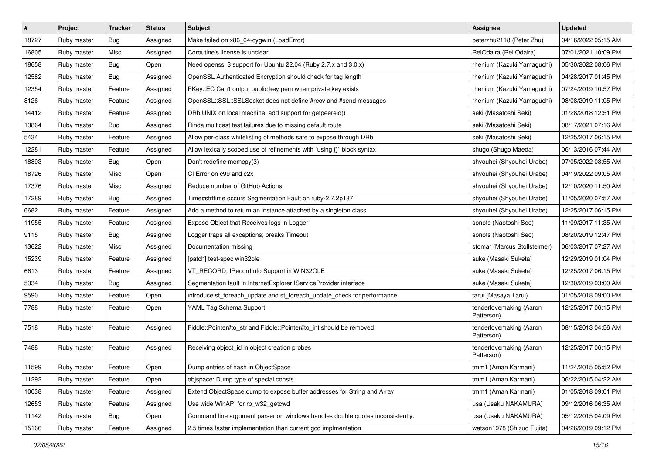| $\vert$ # | Project     | Tracker    | <b>Status</b> | <b>Subject</b>                                                                | <b>Assignee</b>                       | <b>Updated</b>      |
|-----------|-------------|------------|---------------|-------------------------------------------------------------------------------|---------------------------------------|---------------------|
| 18727     | Ruby master | <b>Bug</b> | Assigned      | Make failed on x86_64-cygwin (LoadError)                                      | peterzhu2118 (Peter Zhu)              | 04/16/2022 05:15 AM |
| 16805     | Ruby master | Misc       | Assigned      | Coroutine's license is unclear                                                | ReiOdaira (Rei Odaira)                | 07/01/2021 10:09 PM |
| 18658     | Ruby master | Bug        | Open          | Need openssl 3 support for Ubuntu 22.04 (Ruby 2.7.x and 3.0.x)                | rhenium (Kazuki Yamaguchi)            | 05/30/2022 08:06 PM |
| 12582     | Ruby master | <b>Bug</b> | Assigned      | OpenSSL Authenticated Encryption should check for tag length                  | rhenium (Kazuki Yamaguchi)            | 04/28/2017 01:45 PM |
| 12354     | Ruby master | Feature    | Assigned      | PKey::EC Can't output public key pem when private key exists                  | rhenium (Kazuki Yamaguchi)            | 07/24/2019 10:57 PM |
| 8126      | Ruby master | Feature    | Assigned      | OpenSSL::SSL::SSLSocket does not define #recv and #send messages              | rhenium (Kazuki Yamaguchi)            | 08/08/2019 11:05 PM |
| 14412     | Ruby master | Feature    | Assigned      | DRb UNIX on local machine: add support for getpeereid()                       | seki (Masatoshi Seki)                 | 01/28/2018 12:51 PM |
| 13864     | Ruby master | Bug        | Assigned      | Rinda multicast test failures due to missing default route                    | seki (Masatoshi Seki)                 | 08/17/2021 07:16 AM |
| 5434      | Ruby master | Feature    | Assigned      | Allow per-class whitelisting of methods safe to expose through DRb            | seki (Masatoshi Seki)                 | 12/25/2017 06:15 PM |
| 12281     | Ruby master | Feature    | Assigned      | Allow lexically scoped use of refinements with `using {}` block syntax        | shugo (Shugo Maeda)                   | 06/13/2016 07:44 AM |
| 18893     | Ruby master | Bug        | Open          | Don't redefine memcpy(3)                                                      | shyouhei (Shyouhei Urabe)             | 07/05/2022 08:55 AM |
| 18726     | Ruby master | Misc       | Open          | CI Error on c99 and c2x                                                       | shyouhei (Shyouhei Urabe)             | 04/19/2022 09:05 AM |
| 17376     | Ruby master | Misc       | Assigned      | Reduce number of GitHub Actions                                               | shyouhei (Shyouhei Urabe)             | 12/10/2020 11:50 AM |
| 17289     | Ruby master | Bug        | Assigned      | Time#strftime occurs Segmentation Fault on ruby-2.7.2p137                     | shyouhei (Shyouhei Urabe)             | 11/05/2020 07:57 AM |
| 6682      | Ruby master | Feature    | Assigned      | Add a method to return an instance attached by a singleton class              | shyouhei (Shyouhei Urabe)             | 12/25/2017 06:15 PM |
| 11955     | Ruby master | Feature    | Assigned      | Expose Object that Receives logs in Logger                                    | sonots (Naotoshi Seo)                 | 11/09/2017 11:35 AM |
| 9115      | Ruby master | <b>Bug</b> | Assigned      | Logger traps all exceptions; breaks Timeout                                   | sonots (Naotoshi Seo)                 | 08/20/2019 12:47 PM |
| 13622     | Ruby master | Misc       | Assigned      | Documentation missing                                                         | stomar (Marcus Stollsteimer)          | 06/03/2017 07:27 AM |
| 15239     | Ruby master | Feature    | Assigned      | [patch] test-spec win32ole                                                    | suke (Masaki Suketa)                  | 12/29/2019 01:04 PM |
| 6613      | Ruby master | Feature    | Assigned      | VT_RECORD, IRecordInfo Support in WIN32OLE                                    | suke (Masaki Suketa)                  | 12/25/2017 06:15 PM |
| 5334      | Ruby master | Bug        | Assigned      | Segmentation fault in InternetExplorer IServiceProvider interface             | suke (Masaki Suketa)                  | 12/30/2019 03:00 AM |
| 9590      | Ruby master | Feature    | Open          | introduce st_foreach_update and st_foreach_update_check for performance.      | tarui (Masaya Tarui)                  | 01/05/2018 09:00 PM |
| 7788      | Ruby master | Feature    | Open          | YAML Tag Schema Support                                                       | tenderlovemaking (Aaron<br>Patterson) | 12/25/2017 06:15 PM |
| 7518      | Ruby master | Feature    | Assigned      | Fiddle::Pointer#to_str and Fiddle::Pointer#to_int should be removed           | tenderlovemaking (Aaron<br>Patterson) | 08/15/2013 04:56 AM |
| 7488      | Ruby master | Feature    | Assigned      | Receiving object_id in object creation probes                                 | tenderlovemaking (Aaron<br>Patterson) | 12/25/2017 06:15 PM |
| 11599     | Ruby master | Feature    | Open          | Dump entries of hash in ObjectSpace                                           | tmm1 (Aman Karmani)                   | 11/24/2015 05:52 PM |
| 11292     | Ruby master | Feature    | Open          | objspace: Dump type of special consts                                         | tmm1 (Aman Karmani)                   | 06/22/2015 04:22 AM |
| 10038     | Ruby master | Feature    | Assigned      | Extend ObjectSpace.dump to expose buffer addresses for String and Array       | tmm1 (Aman Karmani)                   | 01/05/2018 09:01 PM |
| 12653     | Ruby master | Feature    | Assigned      | Use wide WinAPI for rb_w32_getcwd                                             | usa (Usaku NAKAMURA)                  | 09/12/2016 06:35 AM |
| 11142     | Ruby master | Bug        | Open          | Command line argument parser on windows handles double quotes inconsistently. | usa (Usaku NAKAMURA)                  | 05/12/2015 04:09 PM |
| 15166     | Ruby master | Feature    | Assigned      | 2.5 times faster implementation than current gcd implmentation                | watson1978 (Shizuo Fujita)            | 04/26/2019 09:12 PM |